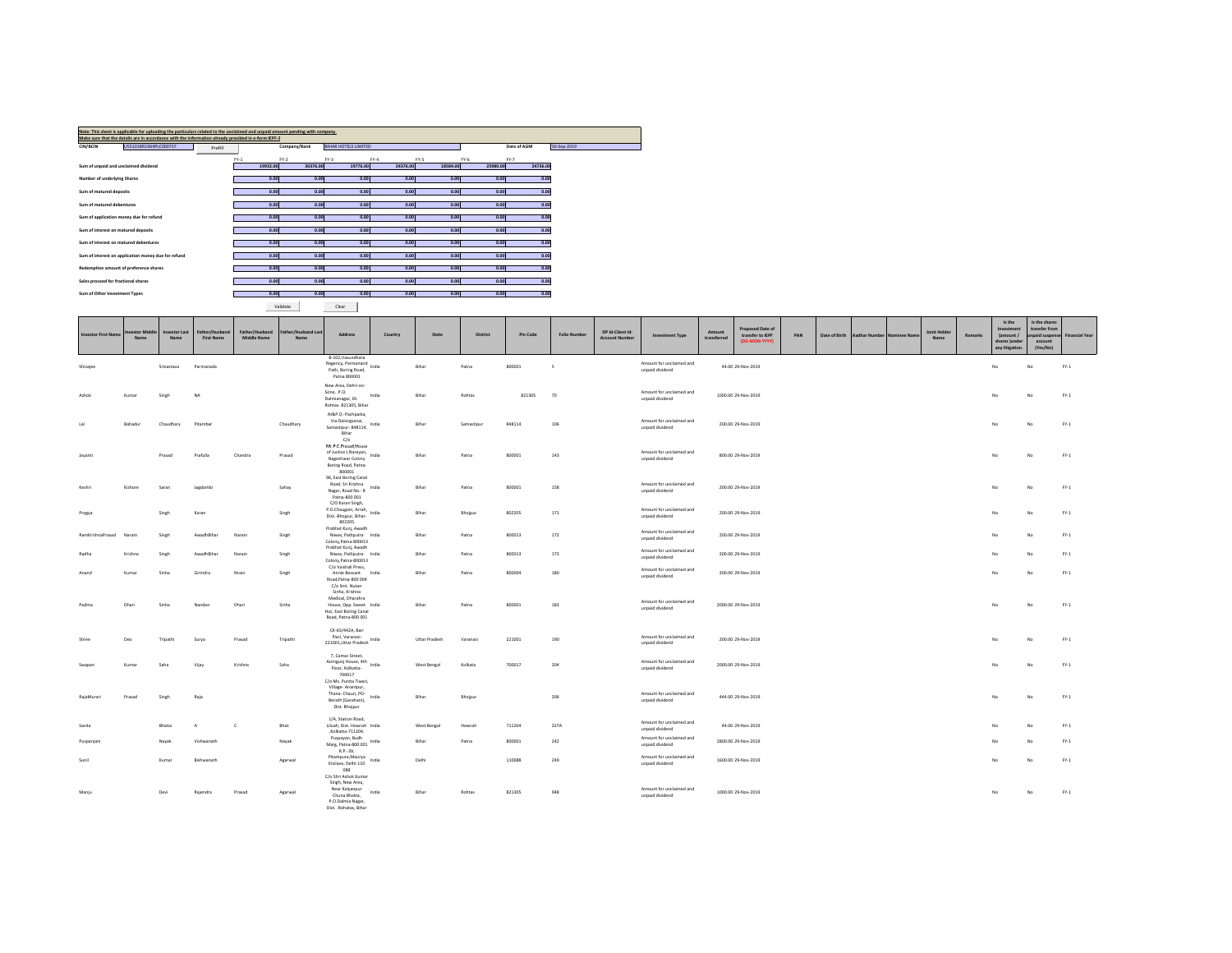|                               | Note: This sheet is applicable for uploading the particulars related to the unclaimed and unpaid amount pending with company. |         |          |              |                             |          |          |          |             |             |
|-------------------------------|-------------------------------------------------------------------------------------------------------------------------------|---------|----------|--------------|-----------------------------|----------|----------|----------|-------------|-------------|
|                               | Make sure that the details are in accordance with the information already provided in e-form IEPF-2                           |         |          |              |                             |          |          |          |             |             |
| CIN/BCIN                      | US5101BR1964PLC000737                                                                                                         | Prefill |          | Company/Bank | <b>BIHAR HOTELS LIMITED</b> |          |          |          | Date of AGM | 30-Sep-2019 |
|                               |                                                                                                                               |         | $FY-1$   | $FY-2$       | $FY-3$                      | $FY-4$   | FY-5     | $FY-6$   | $FY-7$      |             |
|                               | Sum of unpaid and unclaimed dividend                                                                                          |         | 19932.00 | 30376.00     | 19776.00                    | 24376.00 | 18584.00 | 25980.00 | 24736.00    |             |
|                               |                                                                                                                               |         |          |              |                             |          |          |          |             |             |
| Number of underlying Shares   |                                                                                                                               |         | 0.00     | 0.00         | 0.00                        | 0.00     | 0.00     | 0.00     | 0.00        |             |
| Sum of matured deposits       |                                                                                                                               |         | 0.00     | 0.00         | 0.00                        | 0.00     | 0.00     | 0.00     | 0.00        |             |
|                               |                                                                                                                               |         |          |              |                             |          |          |          |             |             |
| Sum of matured debentures     |                                                                                                                               |         | 0.00     | 0.00         | 0.00                        | 0.00     | 0.00     | 0.00     | 0.00        |             |
|                               | Sum of application money due for refund                                                                                       |         | 0.00     | 0.00         | 0.00                        | 0.00     | 0.00     | 0.00     | 0.00        |             |
|                               |                                                                                                                               |         | 0.00     | 0.00         | 0.00                        | 0.00     | 0.00     | 0.00     | 0.00        |             |
|                               | Sum of interest on matured deposits                                                                                           |         |          |              |                             |          |          |          |             |             |
|                               | Sum of interest on matured debentures                                                                                         |         | 0.00     | 0.00         | 0.00                        | 0.00     | 0.00     | 0.00     | 0.00        |             |
|                               | Sum of interest on application money due for refund                                                                           |         | 0.00     | 0.00         | 0.00                        | 0.00     | 0.00     | 0.00     | 0.00        |             |
|                               |                                                                                                                               |         |          |              |                             |          |          |          |             |             |
|                               | Redemption amount of preference shares                                                                                        |         | 0.00     | 0.00         | 0.00                        | 0.00     | 0.00     | 0.00     | 0.00        |             |
|                               | Sales proceed for fractional shares                                                                                           |         | 0.00     | 0.00         | 0.00                        | 0.00     | 0.00     | 0.00     | 0.00        |             |
|                               |                                                                                                                               |         |          |              |                             |          |          |          |             |             |
| Sum of Other Investment Types |                                                                                                                               |         | 0.00     | 0.00         | 0.00                        | 0.00     | 0.00     | 0.00     | 0.00        |             |
|                               |                                                                                                                               |         |          |              |                             |          |          |          |             |             |

Validate Clear

| <b>Investor First Name</b> | nvestor Middle<br>Name | <b>Investor Last</b><br>Name | Father/Husband<br><b>First Name</b> | Father/Husband<br><b>Middle Name</b> | Father/Husband Last<br>Name | Address                                                                                                                    | Country | State         | <b>District</b> | <b>Pin Code</b> | <b>Folio Number</b> | DP Id-Client Id-<br><b>Account Number</b> | <b>Investment Type</b>                      | Amount<br>transferred | Proposed Date of<br>transfer to IEPF<br>(DD-MON-YYYY) | PAN | Date of Birth | Aadhar Number Nominee Name | Joint Holder<br>Name | Remarks | Is the<br>Investment<br>(amount /<br>shares Junder<br>any litigation. | Is the shares<br>transfer from<br>paid suspens<br>account<br>(Yes/No) | <b>Financial Year</b> |
|----------------------------|------------------------|------------------------------|-------------------------------------|--------------------------------------|-----------------------------|----------------------------------------------------------------------------------------------------------------------------|---------|---------------|-----------------|-----------------|---------------------|-------------------------------------------|---------------------------------------------|-----------------------|-------------------------------------------------------|-----|---------------|----------------------------|----------------------|---------|-----------------------------------------------------------------------|-----------------------------------------------------------------------|-----------------------|
| Shivajee                   |                        | Srivastava                   | Parmanada                           |                                      |                             | B-102.Vasundhara<br>Regency, Parmanand<br>Path, Boring Road,<br>Patna 800001                                               | India   | Bihar         | Patna           | 800001          | $\sim$              |                                           | Amount for unclaimed and<br>unpaid dividend |                       | 44.00 29-Nov-2019                                     |     |               |                            |                      |         | No                                                                    | No                                                                    | $FY-1$                |
| Ashok                      | Kumar                  | Singh                        | NA                                  |                                      |                             | New Area, Dehri-on-<br>Sone, P.O.<br>Dalmianagar, Dt.<br>Rohtas- 821305, Bihar                                             | India   | Bihar         | Rohtas          | 821305          | 70                  |                                           | Amount for unclaimed and<br>unpaid dividend |                       | 1000.00 29-Nov-2019                                   |     |               |                            |                      |         | No                                                                    | No                                                                    | $FY-1$                |
| Lal                        | Bahadur                | Chaudhary                    | Pitambar                            |                                      | Chaudhary                   | At&P.O.-Pachpaika.<br>Via Dalsirgsanai,<br>Samastipur- 848114,<br>Bihar                                                    | India   | Bihar         | Samastipur      | 848114          | 106                 |                                           | Amount for unclaimed and<br>unpaid dividend |                       | 200.00 29-Nov-2019                                    |     |               |                            |                      |         | No                                                                    | No                                                                    | $FY-1$                |
| Jayanti                    |                        | Prasad                       | Prafulla                            | Chandra                              | Prasad                      | C/O<br>Mr.P.C.Prasad, House<br>of Justice J.Narayan, India<br>Nageshwar Colony<br>Boring Road, Patna-<br>800001            |         | Bihar         | Patna           | 800001          | 143                 |                                           | Amount for unclaimed and<br>unpaid dividend |                       | 800.00 29-Nov-2019                                    |     |               |                            |                      |         | No                                                                    | No                                                                    | $FY-1$                |
| Keshri                     | Kishore                | Saran                        | Jagdambi                            |                                      | Sahay                       | 96, East Boring Canal<br>Road, Sri Krishna<br>Nagar, Road No. - 8<br>Patna-800 001                                         | India   | Bihar         | Patna           | 800001          | 158                 |                                           | Amount for unclaimed and<br>unpaid dividend |                       | 200.00 29-Nov-2019                                    |     |               |                            |                      |         | No                                                                    | No                                                                    | $FY-1$                |
| Pragya                     |                        | Singh                        | Karan                               |                                      | Singh                       | C/O Karan Singh,<br>P.O.Chaugain, Arrah,<br>Dist.-Bhojpur, Bihar-<br>802205                                                |         | Bihar         | Bhojpur         | 802205          | 171                 |                                           | Amount for unclaimed and<br>unpaid dividend |                       | 200.00 29-Nov-2019                                    |     |               |                            |                      |         | No                                                                    | No                                                                    | $FY-1$                |
| RamKrishnaPrasad           | Narain                 | Singh                        | AwadhBihar                          | Narain                               | Singh                       | Prabhat Kunj, Awadh<br>Niwas, Patliputra India<br>Colony, Patna-800013                                                     |         | Bihar         | Patna           | 800013          | 172                 |                                           | Amount for unclaimed and<br>unpaid dividend |                       | 200.00 29-Nov-2019                                    |     |               |                            |                      |         | No                                                                    | No                                                                    | $FY-1$                |
| Radha                      | Krishna                | Singh                        | AwadhBihar                          | Narain                               | Singh                       | Prabhat Kunj, Awadh<br>Niwas, Patliputra India<br>Colony, Patna-800013                                                     |         | Bihar         | Patna           | 800013          | 173                 |                                           | Amount for unclaimed and<br>unpaid dividend |                       | 200.00 29-Nov-2019                                    |     |               |                            |                      |         | No                                                                    | No                                                                    | $FY-1$                |
| Anand                      | Kumar                  | Sinha                        | Girindra                            | Nrain                                | Singh                       | C/o Vaishali Press,<br>Annie Bessant India<br>Road, Patna-800 004<br>C/o Smt. Nutan                                        |         | Bihar         | Patna           | 800004          | 180                 |                                           | Amount for unclaimed and<br>unpaid dividend |                       | 200.00 29-Nov-2019                                    |     |               |                            |                      |         | No                                                                    | No                                                                    | $FY-1$                |
| Padma                      | Dhari                  | Sinha                        | Nandar                              | Dhari                                | Sinha                       | Sinha, Krishna<br>Medical, Dharahra<br>House, Opp. Sweet India<br>Hut, East Boring Canal<br>Road, Patna-800 001            |         | Bihar         | Patna           | 800001          | 183                 |                                           | Amount for unclaimed and<br>unpaid dividend |                       | 2000.00 29-Nov-2019                                   |     |               |                            |                      |         | No                                                                    | No                                                                    | $FY-1$                |
| Shree                      | Deo                    | Tripathi                     | Surya                               | Prasad                               | Tripathi                    | CK-65/442A, Bari<br>Piari, Varanasi-<br>221001, Uttar Pradesh India                                                        |         | Uttar Pradesh | Varanasi        | 221001          | 190                 |                                           | Amount for unclaimed and<br>unpaid dividend |                       | 200.00 29-Nov-2019                                    |     |               |                            |                      |         | No                                                                    | No                                                                    | $FY-1$                |
| Swapan                     | Kumar                  | Saha                         | Vijay                               | Krishna                              | Saha                        | 7, Camac Street,<br>Azimgunj House, 4th<br>Floor, Kolkatta-<br>700017                                                      |         | West Bengal   | Kolkata         | 700017          | 204                 |                                           | Amount for unclaimed and<br>unpaid dividend |                       | 2000.00 29-Nov-2019                                   |     |               |                            |                      |         | No                                                                    | No                                                                    | $FY-1$                |
| RajaMurari                 | Prasad                 | Singh                        | Raja                                |                                      |                             | C/o Ms. Punita Tiwari,<br>Village- Anantpur,<br>Thana- Chauri, PO-<br>Berath (Garahani),<br>Dist. Bhojpur                  |         | Bihar         | Bhojpur         |                 | 206                 |                                           | Amount for unclaimed and<br>unpaid dividend |                       | 444.00 29-Nov-2019                                    |     |               |                            |                      |         | No                                                                    | No                                                                    | $FY-1$                |
| Savita                     |                        | Bhatia                       | $\Delta$                            | $\epsilon$                           | Bhat                        | 1/A. Station Road.<br>Liluah, Dist.-Howrah India<br>,Kolkatta-711204.                                                      |         | West Bengal   | Howrah          | 711204          | 227A                |                                           | Amount for unclaimed and<br>unpaid dividend |                       | 44.00 29-Nov-2019                                     |     |               |                            |                      |         | No                                                                    |                                                                       | $FY-1$                |
| Puspaniani                 |                        | Nayak                        | Vishwanath                          |                                      | Nayak                       | Puspayan, Budh<br>Marg, Patna-800 001 India<br>R.P.-39,                                                                    |         | Bihar         | Patna           | 800001          | 242                 |                                           | Amount for unclaimed and<br>unpaid dividend |                       | 2800.00 29-Nov-2019                                   |     |               |                            |                      |         | No                                                                    |                                                                       | $FY-1$                |
| Sunil                      |                        | Kumar                        | Bishwanath                          |                                      | Agarwal                     | Pitampura, Maurya<br>Enclave, Delhi-110<br>088                                                                             | India   | Delhi         |                 | 110088          | 249                 |                                           | Amount for unclaimed and<br>unpaid dividend |                       | 1600.00 29-Nov-2019                                   |     |               |                            |                      |         | No                                                                    | No                                                                    | $FY-1$                |
| Manju                      |                        | Dev                          | Rajendra                            | Prasad                               | Agarwal                     | C/o Shri Ashok Kumar<br>Singh, New Area,<br>Near Kalyanpur<br>Chuna Bhatta,<br>P.O.Dalmia Nagar,<br>Dist. - Rohatas, Bihar | India   | Bihar         | Rohtas          | 821305          | 948                 |                                           | Amount for unclaimed and<br>unpaid dividend |                       | 1000.00 29-Nov-2019                                   |     |               |                            |                      |         | No                                                                    | No                                                                    | $FN-1$                |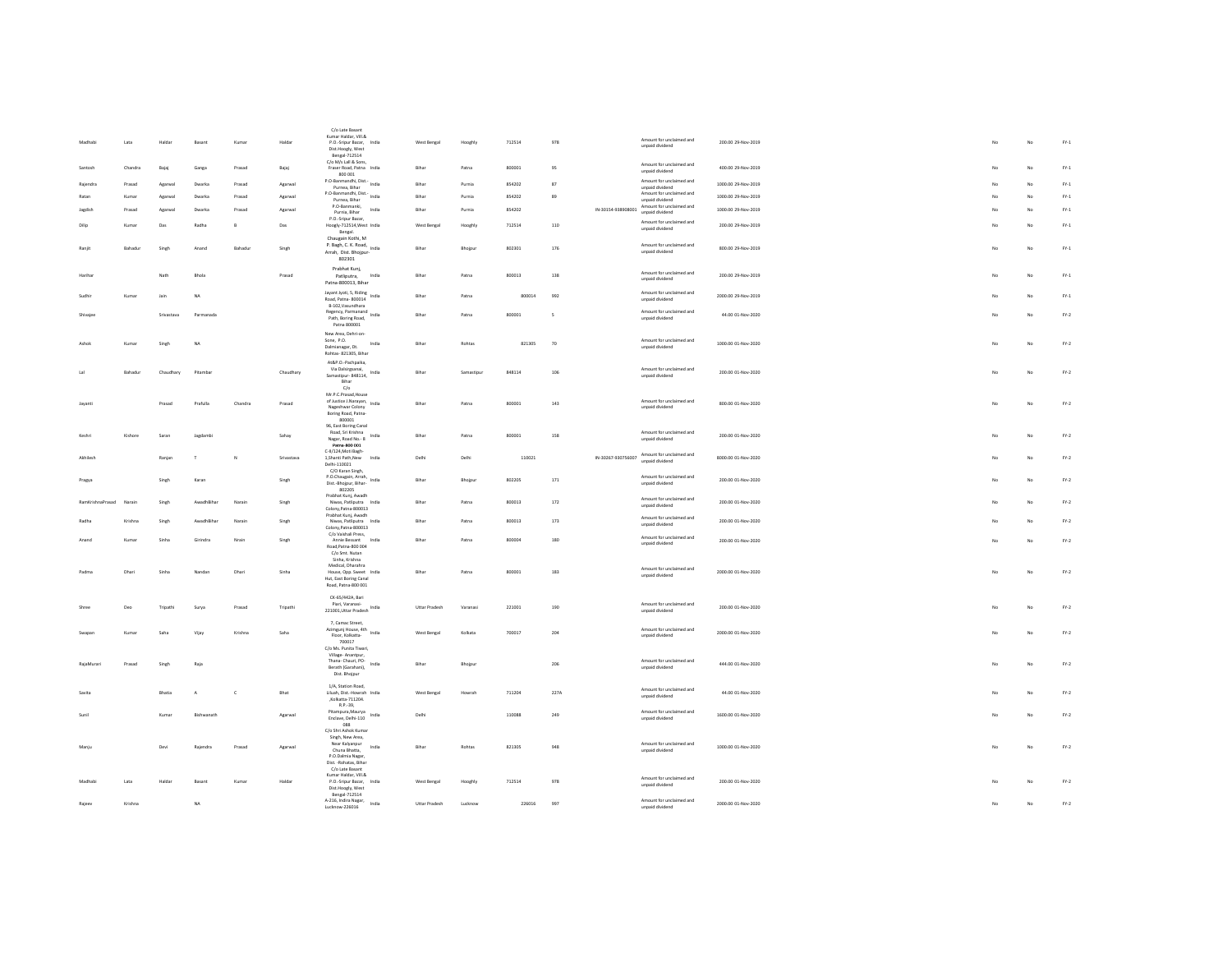|                  |         |            |             |              |            | C/o Late Basa<br>Kumar Haldar, Vill.&                                                 |                      |            |        |         |                    | Amount for unclaimed and                                       |                     |                |    |               |
|------------------|---------|------------|-------------|--------------|------------|---------------------------------------------------------------------------------------|----------------------|------------|--------|---------|--------------------|----------------------------------------------------------------|---------------------|----------------|----|---------------|
| Madhabi          | Lata    | Haldar     | Basant      | Kumar        | Haldar     | P.O.-Sripur Bazar, India<br>Dist.Hoogly, West<br>Bengal-712514                        | West Bengal          | Hooghly    | 712514 | 978     |                    | unpaid dividend                                                | 200.00 29-Nov-2019  | No.            | No | $FY-1$        |
| Santosh          | Chandra | Bajaj      | Ganga       | Prasad       | Bajaj      | C/o M/s Lall & Sons,<br>Fraser Road, Patna India                                      | Bihar                | Patna      | 800001 | 95      |                    | Amount for unclaimed and<br>unpaid dividend                    | 400.00 29-Nov-2019  | No.            | No | $FN-1$        |
| Raiendra         | Prasad  | Agarwal    | Dwarka      | Prasad       | Agarwal    | 800 001<br>P.O-Banmandhi, Dist.- India<br>Purnea, Bihar                               | Bihar                | Purnia     | 854202 | 87      |                    | Amount for unclaimed and<br>unpaid dividend                    | 1000.00 29-Nov-2019 | No             | No | $FN-1$        |
| Ratan            | Kumar   | Agarwa     | Dwarka      | Prasad       | Agarwal    | P.O-Banmandhi, Dist.- India                                                           | Bihar                | Purnia     | 854202 | 89      |                    | Amount for unclaimed and                                       | 1000.00 29-Nov-2019 |                | No | $FY-1$        |
| Jagdish          | Prasad  | Agarwa     | Dwarkz      | Prasad       |            | Purnea, Bihar<br>P.O-Banmanki,<br>India                                               | Rihar                | Purnia     | 854202 |         | IN-30154-938908001 | unpaid dividend<br>Amount for unclaimed and                    | 1000.00 29-Nov-2019 | No             | No | $FY-1$        |
|                  |         |            |             |              | Agarwal    | Purnia, Bihar<br>P.O.-Sripur Bazar,                                                   |                      |            |        |         |                    | unpaid dividend                                                |                     |                |    |               |
| Dilin            | Kumar   | Das        | Radha       | $\mathsf{B}$ | Das        | Hoogly-712514, West India<br>Bengal.                                                  | West Bengal          | Hooghiy    | 712514 | 110     |                    | Amount for unclaimed and<br>unpaid dividend                    | 200.00.29-Nov-2019  | No.            | No | $FY-1$        |
| Ranji            | Bahadur | Singh      | Anand       | Bahadur      | Singh      | Chaugain Kothi, M<br>P. Bagh, C. K. Road,<br>India<br>Arrah, Dist, Bhoipur-<br>802301 | Bihar                | Bhojpu     | 802301 | 176     |                    | Amount for unclaimed and<br>unpaid dividend                    | 800.00 29-Nov-2019  | No             | No | $FY-1$        |
| Hariha           |         | Nati       | Bhob        |              | Prasad     | Prabhat Kunj,<br>Patliputra,<br>India                                                 | Bihar                | Patna      | 800013 | 138     |                    | Amount for unclaimed and<br>unpaid dividend                    | 200.00 29-Nov-2019  | No             | No | $FY-1$        |
| Sudhir           | Kumar   | Jain       | NA          |              |            | Patna-800013, Bihar<br>Jayant Jyoti, S, Riding India<br>Road, Patna-800014            | Rihar                | Patna      | 800014 | 992     |                    | Amount for unclaimed and<br>unpaid dividend                    | 2000.00 29-Nov-2019 | No             | No | $FN-1$        |
| Shivajee         |         | Srivastava | Parmanada   |              |            | B-102, Vasundhara<br>Regency, Parmanand<br>Charles Board India                        | Bihar                | Patna      | 800001 | $\sf s$ |                    | Amount for unclaimed and                                       | 44.00 01-Nov-2020   | No             | No | $FN-2$        |
|                  |         |            |             |              |            | Path, Boring Road.<br>Patna 800001<br>New Area Debri-on-                              |                      |            |        |         |                    | unpaid dividend                                                |                     |                |    |               |
| Ashok            | Kumar   | Singh      | <b>NA</b>   |              |            | Sone, P.O.<br>India<br>Dalmianagar, Dt.<br>Rohtas- 821305, Bihar                      | Bihar                | Rohtas     | 821305 | 70      |                    | Amount for unclaimed and<br>unpaid dividend                    | 1000.00 01-Nov-2020 | No             | No | $FY-2$        |
| tal              | Bahadur | Chaudhary  | Pitambar    |              | Chaudhary  | At&P.O.-Pachpaika,<br>Via Dalsirgsanai,                                               | Bihar                | Samastipur | 848114 | 106     |                    | Amount for unclaimed and                                       | 200.00 01-Nov-2020  | No             | No | $FN-2$        |
|                  |         |            |             |              |            | Samastipur- 848114, India<br>Bihar<br>$\mathbb{C}/\mathbb{o}$                         |                      |            |        |         |                    | unpaid dividend                                                |                     |                |    |               |
|                  |         |            |             |              |            | Mr.P.C.Prasad, House                                                                  |                      |            |        |         |                    |                                                                |                     |                |    |               |
| Jayanti          |         | Prasad     | Prafulla    | Chandra      | Prasad     | of Justice J.Narayan, India<br>Nageshwar Colony<br>Boring Road, Patna-                | Bihar                | Patna      | 800001 | 143     |                    | Amount for unclaimed and<br>unpaid dividend                    | 800.00 01-Nov-2020  | No             | No | $FN-2$        |
|                  |         |            |             |              |            | 800001<br>96, East Boring Canal                                                       |                      |            |        |         |                    |                                                                |                     |                |    |               |
| Keshr            | Kishore | Saran      | Jagdambi    |              | Sahay      | Road, Sri Krishna<br>India<br>Nagar, Road No. - 8<br>Patna-800 001                    | Bihar                | Patna      | 800001 | 158     |                    | Amount for unclaimed and<br>unpaid dividend                    | 200.00 01-Nov-2020  | No             | No | $FN-2$        |
| Akhilesh         |         | Ranjar     | Ŧ           | N            | Srivastava | C-II/124, Moti Bagh-<br>1, Shanti Path, New<br>India                                  | Delhi                | Delhi      | 110021 |         |                    | IN-30267-930756007 Amount for unclaimed and<br>unpaid dividend | 8000.00 01-Nov-2020 |                | No | $FY-2$        |
|                  |         |            |             |              |            | Delhi-110021<br>C/O Karan Singh.<br>P.O.Chaugain, Arrah, India                        |                      |            |        |         |                    | Amount for unclaimed and                                       |                     |                |    |               |
| Pragya           |         | Singh      | Karan       |              | Singh      | Dist.-Bhojpur, Bihar-<br>802205<br>Prabhat Kunj, Awadh                                | Rihar                | Bhojpur    | 802205 | 171     |                    | unpaid dividend                                                | 200.00 01-Nov-2020  | No             | No | $FY-2$        |
| RamKrishnaPrasad | Narain  | Singh      | AwadhBihar  | Narain       | Singh      | Niwas Patliputra India<br>Colony, Patna-800013                                        | Bihar                | Patna      | 800013 | 172     |                    | Amount for unclaimed and<br>unpaid dividend                    | 200.00 01-Nov-2020  | No             | No | $FY-2$        |
|                  | Krishna | Singh      | AwadhBihar  | Narain       | Singh      | Prabhat Kunj, Awadh<br>Niwas, Patliputra India<br>Colony, Patna-800013                | Bihar                | Patna      | 800013 | 173     |                    | Amount for unclaimed and<br>unpaid dividend                    | 200.00 01-Nov-2020  |                | No | $FN-2$        |
| Anand            | Kumar   | Sinha      | Girindra    | Nrain        | Singh      | C/o Vaishali Press,<br>Annie Bessant<br>India<br>Road, Patna-800 004                  | Bihar                | Patna      | 800004 | 180     |                    | Amount for unclaimed and<br>unpaid dividend                    | 200.00 01-Nov-2020  |                | No | $FN-2$        |
|                  |         |            |             |              |            | C/o Smt. Nutan<br>Sinha Krishna                                                       |                      |            |        |         |                    |                                                                |                     |                |    |               |
| Padma            | Dhari   | Sinha      | Nandan      | Dhari        | Sinha      | Medical, Dharahra<br>House, Opp. Sweet India                                          | Bihar                | Patna      | 800001 | 183     |                    | Amount for unclaimed and                                       | 2000.00 01-Nov-2020 | No             | No | $FN-2$        |
|                  |         |            |             |              |            | Hut, East Boring Canal<br>Road, Patna-800 001                                         |                      |            |        |         |                    | unpaid dividend                                                |                     |                |    |               |
|                  |         |            |             |              |            | CK-65/442A, Bari                                                                      |                      |            |        |         |                    |                                                                |                     |                |    |               |
| Shree            | Deo     | Tripathi   | Surva       | Prasad       | Tripathi   | Piari, Varanasi-<br>221001, Uttar Pradesh India                                       | <b>Uttar Pradesh</b> | Varanasi   | 221001 | 190     |                    | Amount for unclaimed and<br>unpaid dividend                    | 200.00.01-Nov-2020  | No.            | No | $FY-2$        |
|                  |         |            |             |              |            | 7, Camac Street,<br>Azimgunj House, 4th India                                         |                      |            |        |         |                    | Amount for unclaimed and                                       | 2000.00.01-Nov-2020 |                |    |               |
|                  | Kumar   | Saba       | Vijay       | Krishna      | Saha       | Floor, Kolkatta-<br>700017                                                            | West Bengal          | Kolkata    | 700017 | 204     |                    | unpaid dividend                                                |                     | N <sub>0</sub> | No | $FY-2$        |
|                  |         |            |             |              |            | C/o Ms. Punita Tiwari.<br>Village-Anantpur.                                           |                      |            |        |         |                    |                                                                |                     |                |    |               |
| RajaMurari       | Prasad  | Singh      | Raja        |              |            | Thana- Chauri, PO-<br>India<br>Berath (Garahani),                                     | Bihar                | Bhoipur    |        | 206     |                    | Amount for unclaimed and<br>unpaid dividend                    | 444.00 01-Nov-2020  | No.            | No | $FY-2$        |
|                  |         |            |             |              |            | Dist. Bhojpur                                                                         |                      |            |        |         |                    |                                                                |                     |                |    |               |
| Savita           |         | Bhatia     |             | $\mathbf c$  | Bhat       | 1/A. Station Road.<br>Liluah, Dist.-Howrah India<br>,Kolkatta-711204.                 | West Bengal          | Howrah     | 711204 | 227A    |                    | Amount for unclaimed and<br>unnaid dividend                    | 44.00 01-Nov-2020   |                | No | $\text{FY-2}$ |
| Sunil            |         | Kuma       | Rishwanath  |              | Agarwal    | R.P.-39.<br>Pitampura, Maurya<br>India                                                | Delhi                |            | 110088 | 249     |                    | Amount for unclaimed and                                       | 1600.00 01-Nov-2020 | No             | No | $FN-2$        |
|                  |         |            |             |              |            | Enclave, Delhi-110<br>088                                                             |                      |            |        |         |                    | unpaid dividend                                                |                     |                |    |               |
|                  |         |            |             |              |            | C/o Shri Ashok Kumar<br>Singh, New Area,                                              |                      |            |        |         |                    |                                                                |                     |                |    |               |
| Manju            |         | Dev        | Rajendra    | Prasad       | Agarwal    | Near Kalvanpur<br>India<br>Chuna Bhatta,                                              | Bihar                | Rohtas     | 821305 | 948     |                    | Amount for unclaimed and<br>unpaid dividend                    | 1000.00 01-Nov-2020 | No             | No | $FY-2$        |
|                  |         |            |             |              |            | P.O.Dalmia Nagar,<br>Dist. - Rohatas, Bihar                                           |                      |            |        |         |                    |                                                                |                     |                |    |               |
|                  |         |            |             |              |            | C/o Late Basant<br>Kumar Haldar, Vill.&                                               |                      |            |        |         |                    |                                                                |                     |                |    |               |
| Madhabi          | Lata    | Halda      | Basant      | Kumar        | Haldar     | P.O.-Sripur Bazar, India                                                              | West Bengal          | Hooghly    | 712514 | 978     |                    | Amount for unclaimed and<br>unpaid dividend                    | 200.00 01-Nov-2020  |                | No | $FY-2$        |
|                  |         |            |             |              |            | Dist.Hoogly, West<br>Bengal-712514                                                    |                      |            |        |         |                    |                                                                |                     |                |    |               |
| Rajeey           | Krishna |            | $_{\sf NA}$ |              |            | A-216, Indira Nagar,<br>India<br>Lucknow-226016                                       | Uttar Pradesh        | Lucknow    | 226016 | 997     |                    | Amount for unclaimed and<br>unpaid dividend                    | 2000.00 01-Nov-2020 |                | No | $\text{FY-2}$ |
|                  |         |            |             |              |            |                                                                                       |                      |            |        |         |                    |                                                                |                     |                |    |               |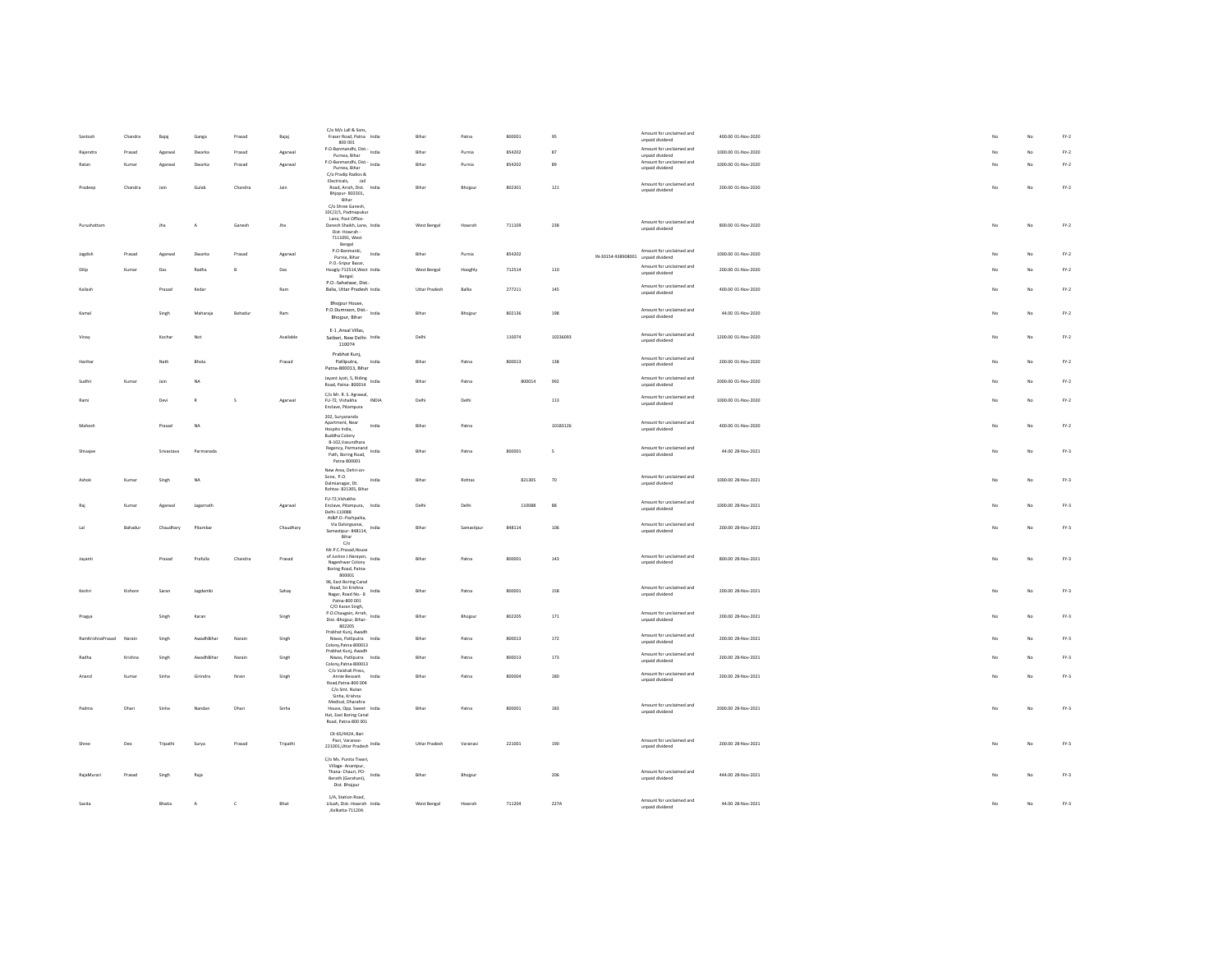|                  |                |            |              |              |           | C/o M/s Lall & Sons,                                                                                                                                             |               |            |        |             |                                    |                                             |                     |     |             |                                 |
|------------------|----------------|------------|--------------|--------------|-----------|------------------------------------------------------------------------------------------------------------------------------------------------------------------|---------------|------------|--------|-------------|------------------------------------|---------------------------------------------|---------------------|-----|-------------|---------------------------------|
|                  | Chandra        | Bajaj      | Ganga        | Prasad       | Bajaj     | Fraser Road, Patna India<br>800 001                                                                                                                              | Bihar         | Patna      | 800001 | 95          |                                    | Amount for unclaimed and<br>unpaid dividend | 400.00 01-Nov-2020  |     | No          | $FY-2$                          |
|                  | Prasad         | Agarwal    | Dwarka       | Prasad       | Agarwa    | P.O-Banmandhi, Dist.<br>Purnea, Bihar                                                                                                                            | Bihar         | Purnia     | 854202 | 87          |                                    | Amount for unclaimed and<br>unpaid dividend | 1000.00 01-Nov-2020 |     | No          | $\text{FY-2}$                   |
| Ratan            | Kumar          | Agarwal    | Dwarka       | Prasad       | Agarwa    | P.O-Banmandhi, Dist. India<br>Purnea, Bihar                                                                                                                      | Rihar         | Purnia     | 854202 | 89          |                                    | Amount for unclaimed and<br>unpaid dividend | 1000.00 01-Nov-2020 |     | No          | $FY-2$                          |
|                  |                |            |              |              |           | C/o Pradip Radios &<br>Electricals. Jail                                                                                                                         |               |            |        |             |                                    | Amount for unclaimed and                    |                     |     |             |                                 |
| Pradeep          | Chandra        | Jain       | Gulab        | Chandra      | Jain      | Road, Arrah, Dist. India<br>Bhjopur- 802301,                                                                                                                     | Bihar         | Bhojpur    | 802301 | 121         |                                    | unpaid dividend                             | 200.00 01-Nov-2020  | No  | No          | $FY-2$                          |
|                  |                |            |              |              |           | Bihar<br>C/o Shree Ganesh.                                                                                                                                       |               |            |        |             |                                    |                                             |                     |     |             |                                 |
| Purushottan      |                | Jha        | A            | Ganesh       | tha       | 10C/2/1, Padmapukur<br>Lane, Post Office-<br>Danesh Shaikh, Lane, India                                                                                          | West Bengal   | Howrah     | 711109 | 238         |                                    | Amount for unclaimed and                    | 800.00 01-Nov-2020  | No  | No          | $FY-2$                          |
|                  |                |            |              |              |           | Dist-Howrah -<br>7111091. West                                                                                                                                   |               |            |        |             |                                    | unpaid dividend                             |                     |     |             |                                 |
|                  |                |            |              |              |           | Bengal<br>P.O-Banmanki,                                                                                                                                          |               |            |        |             |                                    | Amount for unclaimed and                    |                     |     |             |                                 |
| Jazdish          | Prasad         | Agarwal    | Dwarka       | Prasad       | Agarwa    | India<br>Purnia, Bihar<br>P.O.-Sripur Bazar.                                                                                                                     | Bihar         | Purnia     | 854202 |             | IN-30154-938908001 unpaid dividend | Amount for unclaimed and                    | 1000.00 01-Nov-2020 | No. | No          | $FY-2$                          |
| Dilip            | Kumar          | Das        | Radha        | B            | Das       | Hoogly-712514, West India<br>Bengal.                                                                                                                             | West Bengal   | Hooghly    | 712514 | 110         |                                    | unpaid dividend                             | 200.00 01-Nov-2020  |     | No          | $FN-2$                          |
| Kailash          |                | Prasad     | Kedar        |              | Ram       | P.O.-Sahatwar, Dist.<br>Balia, Uttar Pradesh India                                                                                                               | Uttar Pradesh | Ballia     | 277211 | 145         |                                    | Amount for unclaimed and<br>unpaid dividend | 400.00 01-Nov-2020  | No  | No          | $FY-2$                          |
|                  |                |            |              |              |           | Bhojpur House,                                                                                                                                                   |               |            |        |             |                                    |                                             |                     |     |             |                                 |
| Kamal            |                | Singh      | Maharaja     | Bahadur      | Ram       | P.O.Dumraon, Dist.- India<br>Bhojpur, Bihar                                                                                                                      | Bihar         | Bhojpur    | 802136 | 198         |                                    | Amount for unclaimed and<br>unpaid dividend | 44.00 01-Nov-2020   | No  | No          | $FN-2$                          |
|                  |                | Kochar     | Not          |              | Available | E-1 , Ansal Villas,                                                                                                                                              | Delhi         |            | 110074 | 10236093    |                                    | Amount for unclaimed and                    | 1200.00 01-Nov-2020 | No. | No          |                                 |
| Vinay            |                |            |              |              |           | Satbari, New Delhi- India<br>110074                                                                                                                              |               |            |        |             |                                    | unpaid dividend                             |                     |     |             | $FY-2$                          |
| Haribar          |                | Nath       | Bhola        |              | Prasad    | Prabhat Kuni.<br>India<br>Patliputra.                                                                                                                            | Bihar         | Patna      | 800013 | 138         |                                    | Amount for unclaimed and<br>unpaid dividend | 200.00 01-Nov-2020  |     | No          | $FN-2$                          |
|                  |                |            |              |              |           | Patna-800013, Bihar                                                                                                                                              |               |            |        |             |                                    | Amount for unclaimed and                    |                     |     |             |                                 |
|                  | Kumar          | Jain       | <b>NA</b>    |              |           | Jayant Jyoti, 5, Riding<br>ndia<br>nonosa India<br>Road, Patna-800014                                                                                            | Bihar         | Patna      | 800014 | 992         |                                    | unpaid dividend                             | 2000.00 01-Nov-2020 |     | No          | $\text{FY-2}$                   |
| Rami             |                | Devi       | $\mathbb{R}$ | s            | Agarwal   | C/o Mr. R. S. Agrawal,<br>INDIA<br>FU-72. Vishakha<br>Enclave, Pitampura                                                                                         | Delhi         | Delhi      |        | 113         |                                    | Amount for unclaimed and<br>unpaid dividend | 1000.00 01-Nov-2020 | No. | No          | $FY-2$                          |
|                  |                |            |              |              |           | 202, Suryananda                                                                                                                                                  |               |            |        |             |                                    |                                             |                     |     |             |                                 |
| Mahesh           |                | Prasad     | NA           |              |           | Apartment, Near<br>India<br>Hospito India,<br>Buddha Colony                                                                                                      | Bihar         | Patna      |        | 10183126    |                                    | Amount for unclaimed and<br>unpaid dividend | 400.00 01-Nov-2020  | No. | No          | $FY-2$                          |
|                  |                |            |              |              |           | B-102, Vasundhara<br>Regency, Parmanand<br>and India                                                                                                             |               |            |        |             |                                    | Amount for unclaimed and                    |                     |     |             |                                 |
| Shivaier         |                | Srivastava | Parmanada    |              |           | Path, Boring Road,<br>Patna 800001                                                                                                                               | Rihar         | Patna      | 800001 | $\sim$      |                                    | unpaid dividend                             | 44.00.28-Nov-2021   | No. | No          | $FY-3$                          |
|                  |                |            |              |              |           | New Area, Dehri-on-<br>Sone, P.O.                                                                                                                                |               |            |        |             |                                    | Amount for unclaimed and                    |                     |     |             |                                 |
| Ashol            | Kumar          | Singh      | NA           |              |           | India<br>Dalmianagar, Dt.<br>Rohtas-821305, Bihar                                                                                                                | Bihar         | Rohtas     | 821305 | $70$        |                                    | unpaid dividend                             | 1000.00 28-Nov-2021 | No  | No          | $\mathsf{FY}\text{-}\mathsf{3}$ |
|                  | Kumar          | Agarwal    | Jagarnath    |              | Agarwal   | FU-72, Vishakha<br>Enclave, Pitampura, India                                                                                                                     | Delhi         | Delh       | 110088 | $^{\rm 88}$ |                                    | Amount for unclaimed and                    | 1000.00 28-Nov-2021 |     | No          | $FY-3$                          |
|                  |                |            |              |              |           | Delhi-110088<br>At&P O -Pachnaika                                                                                                                                |               |            |        |             |                                    | unpaid dividend                             |                     |     |             |                                 |
| <b>Lai</b>       | <b>Bahadur</b> | Chaudhary  | Pitamba      |              | Chaudhary | Via Dalsiresanai.<br>India<br>Samastipur- 848114,                                                                                                                | Rihar         | Samastinur | 848114 | 106         |                                    | Amount for unclaimed and<br>unpaid dividend | 200.00.28-Nov-2021  | No. | No          | $FY-3$                          |
|                  |                |            |              |              |           | Bihar<br>$C/\alpha$                                                                                                                                              |               |            |        |             |                                    |                                             |                     |     |             |                                 |
| Iavant           |                | Prasad     | Prafulla     | Chandra      | Prasad    | Mr.P.C.Prasad.House<br>of Justice J.Narayan, India                                                                                                               | Rihar         | Patna      | 800001 | 143         |                                    | Amount for unclaimed and<br>unpaid dividend | 800.00.28-Nov-2021  | No. | No          | $FN-3$                          |
|                  |                |            |              |              |           | Nageshwar Colony<br>Boring Road, Patna-<br>800001                                                                                                                |               |            |        |             |                                    |                                             |                     |     |             |                                 |
|                  |                |            |              |              |           | 96, East Boring Canal<br>Road, Sri Krishna                                                                                                                       |               |            |        |             |                                    | Amount for unclaimed and                    | 200.00 28-Nov-2021  |     |             |                                 |
| Keshri           | Kishore        | Saran      | Jagdambi     |              | Sahay     | India<br>Nagar, Road No. 8<br>Patna-800 001                                                                                                                      | Bihar         | Patna      | 800001 | 158         |                                    | unpaid dividend                             |                     | No. | No          | $FY-3$                          |
| Pragya           |                | Singh      | Karan        |              | Singh     | C/O Karan Singh,<br>P.O.Chaugain, Arrah,<br>India                                                                                                                | Rihar         | Bhoipur    | 802205 | 171         |                                    | Amount for unclaimed and                    | 200.00.28-Nov-2021  | No. | No          | $FY-3$                          |
|                  |                |            |              |              |           | Dist.-Bhojpur, Bihar-<br>802205<br>Prabhat Kuni, Awadh                                                                                                           |               |            |        |             |                                    | unpaid dividend                             |                     |     |             |                                 |
| RamKrishnaPrasad | Narain         | Singh      | AwadhBihar   | Narain       | Singh     | Niwas, Patliputra India<br>Colony, Patna-800013                                                                                                                  | Bihar         | Patna      | 800013 | 172         |                                    | Amount for unclaimed and<br>unpaid dividend | 200.00 28-Nov-2021  | No. | No          | $FN-3$                          |
| Radha            | Krishna        | Singh      | AwadhBihar   | Narain       | Singh     | Prabhat Kuni, Awadh<br>Niwas Patliputra India                                                                                                                    | Bihar         | Patna      | 800013 | 173         |                                    | Amount for unclaimed and<br>unpaid dividend | 200.00 28-Nov-2021  | No  | No          | $FN-3$                          |
|                  |                |            |              |              |           | Colony, Patna-800013<br>C/o Vaishali Press,                                                                                                                      |               |            |        |             |                                    | Amount for unclaimed and                    |                     |     |             |                                 |
| Anand            | Kumar          | Sinha      | Girindra     | Nrain        | Singh     | Annie Bessant<br>India<br>Road.Patna-800 004<br>C/o Smt. Nutan                                                                                                   | Bihar         | Patna      | 800004 | 180         |                                    | unpaid dividend                             | 200.00 28-Nov-2021  | No  | No          | $FY-3$                          |
|                  |                |            |              |              |           | Sinha, Krishna<br>Medical, Dharahra                                                                                                                              |               |            |        |             |                                    |                                             |                     |     |             |                                 |
| Padma            | Dhari          | Sinha      | Nandan       | Dhari        | Sinha     | House, Opp. Sweet India<br>Hut, East Boring Canal                                                                                                                | Bihar         | Patna      | 800001 | 183         |                                    | Amount for unclaimed and<br>unpaid dividend | 2000.00 28-Nov-2021 | No. | No          | $FN-3$                          |
|                  |                |            |              |              |           | Road, Patna-800 001                                                                                                                                              |               |            |        |             |                                    |                                             |                     |     |             |                                 |
|                  | Deo            | Tripath    | Surya        | Prasad       | Tripathi  | CK-65/442A, Bari<br>Piari, Varanasi-                                                                                                                             | Uttar Pradesh | Varanas    | 221001 | 190         |                                    | Amount for unclaimed and                    | 200.00 28-Nov-2021  |     | No          | $FY-3$                          |
|                  |                |            |              |              |           | $\begin{array}{c} \ldots, \text{ we state} \\ 221001, \text{Uttar Prades} \\ \end{array} \begin{array}{c} \text{India} \\ \end{array}$<br>C/o Ms. Punita Tiwari. |               |            |        |             |                                    | unpaid dividend                             |                     |     |             |                                 |
|                  |                |            |              |              |           | Village- Anantpur,<br>Thana- Chauri, PO-                                                                                                                         |               |            |        |             |                                    | Amount for unclaimed and                    |                     |     |             |                                 |
| RajaMurari       | Prasad         | Singh      | Raja         |              |           | India<br>Berath (Garahani),<br>Dist. Bhojpur                                                                                                                     | Bihar         | Bhojpu     |        | $206\,$     |                                    | unpaid dividend                             | 444.00 28-Nov-2021  | No  | $_{\rm No}$ | $FY-3$                          |
| Savita           |                |            |              |              |           | 1/A. Station Road.                                                                                                                                               |               |            |        |             |                                    | Amount for unclaimed and                    |                     |     |             |                                 |
|                  |                | Bhatia     | A            | $\mathsf{c}$ | Bhat      | Liluah, Dist.-Howrah India<br>,Kolkatta-711204.                                                                                                                  | West Bengal   | Howrah     | 711204 | 227A        |                                    | unpaid dividend                             | 44.00 28-Nov-2021   | No  | $_{\rm No}$ | $FY-3$                          |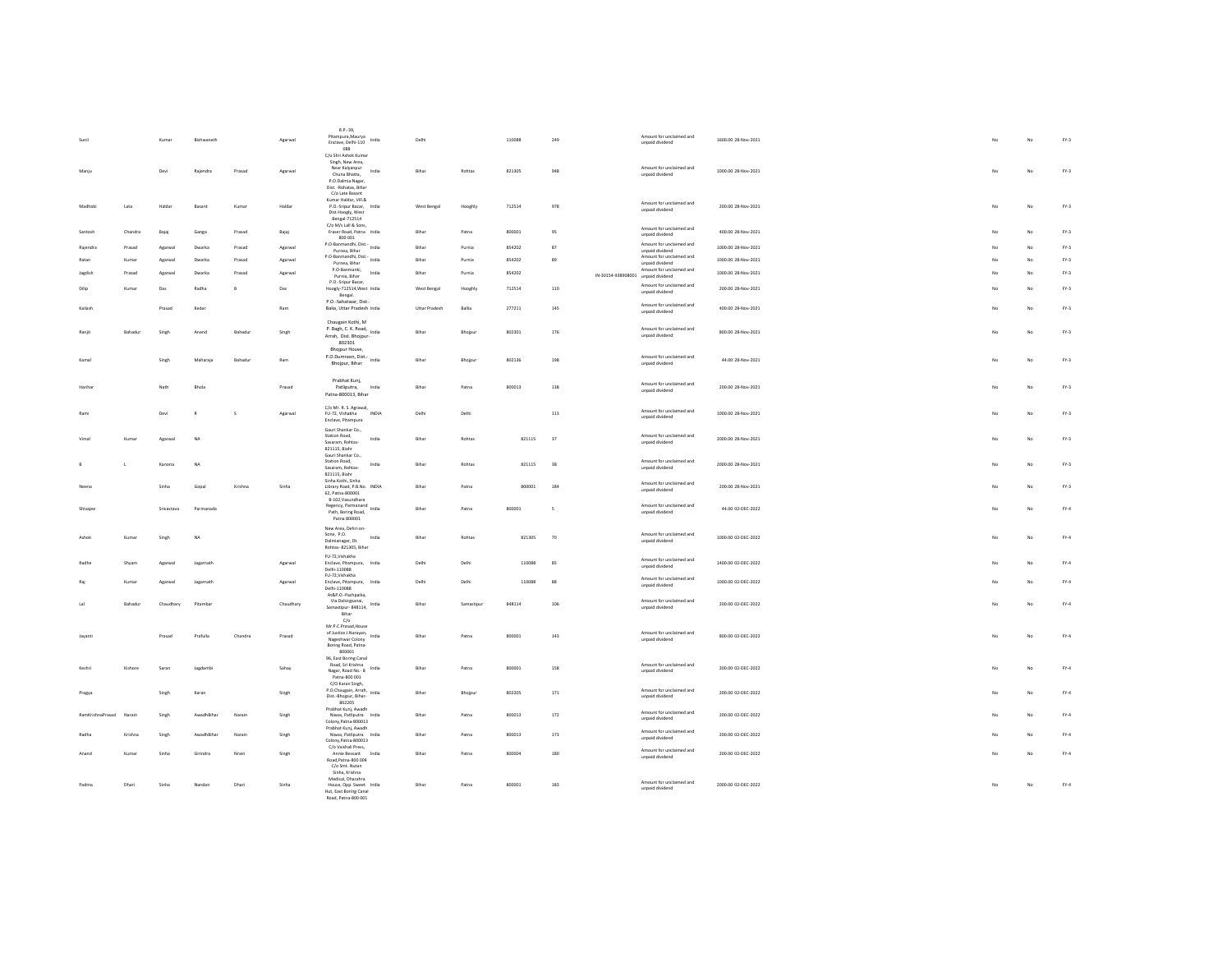|          |                  |                | Kumar      | Bishwanath   |                | Agarwal   | R.P.-39,<br>Pitampura, Maurya<br>India<br>Enclave, Delhi-110<br>088                                                                | Delhi                |            | 110088 | 249                      |                                    | Amount for unclaimed and<br>unpaid dividend | 1600.00 28-Nov-2021 |  |                |    | $FN-3$ |
|----------|------------------|----------------|------------|--------------|----------------|-----------|------------------------------------------------------------------------------------------------------------------------------------|----------------------|------------|--------|--------------------------|------------------------------------|---------------------------------------------|---------------------|--|----------------|----|--------|
| Maniu    |                  |                | Devi       | Raiendra     | Prasad         | Agarwal   | C/o Shri Ashok Kumar<br>Singh, New Area,<br>Near Kalyanpur<br>India<br>Chuna Bhatta,<br>P.O.Dalmia Nagar,<br>Dist. -Rohatas, Bihar | Rihar                | Robtas     | 821305 | 948                      |                                    | Amount for unclaimed and<br>unpaid dividend | 1000.00.28-Nov-2021 |  | No             | No | $FN-3$ |
| Madhab   |                  | Lata           | Haldar     | Basant       | Kumar          | Halda     | C/o Late Basant<br>Kumar Haldar, Vill.&<br>P.O.-Sripur Bazar, India<br>Dist.Hoogly, West<br>Bengal-712514                          | West Bengal          | Hooghly    | 712514 | 978                      |                                    | Amount for unclaimed and<br>unpaid dividend | 200.00 28-Nov-2021  |  | No             | No | $FN-3$ |
| Santosh  |                  | Chandra        | Bajai      | Ganga        | Prasad         | Bajaj     | C/o M/s Lall & Sons.<br>Fraser Road, Patna India<br>800 001                                                                        | Bihar                | Patna      | 800001 | 95                       |                                    | Amount for unclaimed and<br>unpaid dividend | 400.00 28-Nov-2021  |  | No.            | No | $FN-3$ |
| Raiendra |                  | Prasad         | Agarwal    | Dwarka       | Prasad         | Agarwal   | P.O-Banmandhi, Dist.- India                                                                                                        | Bihar                | Purnia     | 854202 | 87                       |                                    | Amount for unclaimed and                    | 1000.00 28-Nov-2021 |  | No             | No | $FY-3$ |
| Ratan    |                  | Kumar          | Agarwal    | Dwarka       | Prasad         | Agarwal   | Purnea, Bihar<br>P.O-Banmandhi, Dist.- India                                                                                       | Bihar                | Purnia     | 854202 | 89                       |                                    | unpaid dividend<br>Amount for unclaimed and | 1000.00 28-Nov-2021 |  |                | No | $FY-3$ |
|          |                  |                |            |              |                |           | Purnea, Bihar<br>P.O-Banmanki,<br>India                                                                                            | Bihar                |            |        |                          |                                    | unpaid dividend<br>Amount for unclaimed and |                     |  | No             |    |        |
|          |                  | Prasad         | Agarwa     | Dwarkz       | Prasad         | Agarwa    | Purnia, Bihar<br>P.O.-Sripur Bazar,                                                                                                |                      | Purnia     | 854202 |                          | IN-30154-938908001 unpaid dividend |                                             | 1000.00 28-Nov-2021 |  |                | No | $FY-3$ |
| Dilip    |                  | Kuma           | Das        | Radha        | $\overline{B}$ | Das       | Hoogly-712514, West India<br>Bengal.                                                                                               | West Bengal          | Hooghly    | 712514 | 110                      |                                    | Amount for unclaimed and<br>unpaid dividend | 200.00 28-Nov-2021  |  | No             | No | $FN-3$ |
| Kailash  |                  |                | Prasad     | Kedar        |                | Ram       | P.O.-Sahatwar, Dist.<br>Balia, Uttar Pradesh India                                                                                 | <b>Uttar Pradesh</b> | Ballia     | 277211 | 145                      |                                    | Amount for unclaimed and<br>unpaid dividend | 400.00 28-Nov-2021  |  | N <sub>0</sub> | No | $FY-3$ |
| Raniit   |                  | Bahadur        | Singh      | Anand        | Bahadur        | Singh     | Chaugain Kothi, M<br>P. Bagh, C. K. Road,<br>India<br>Arrah, Dist. Bhojpur-<br>802301                                              | Bihar                | Bhoipur    | 802301 | 176                      |                                    | Amount for unclaimed and<br>unpaid dividend | 800.00 28-Nov-2021  |  | No.            | No | $FN-3$ |
| Kamal    |                  |                | Singh      | Maharaiz     | <b>Bahadur</b> | Ram       | Bhojpur House,<br>P.O.Dumraon, Dist.-<br>Bhojpur, Bihar                                                                            | Bihar                | Bhoipur    | 802136 | 198                      |                                    | Amount for unclaimed and<br>unpaid dividend | 44.00.28-Nov-2021   |  | No.            | No | $FN-3$ |
|          |                  |                |            |              |                |           | Prabhat Kunj,                                                                                                                      |                      |            |        |                          |                                    |                                             |                     |  |                |    |        |
| Hariha   |                  |                | Nath       | Bhola        |                | Prasad    | Patliputra,<br>India<br>Patna-800013, Bihar                                                                                        | Bihar                | Patna      | 800013 | 138                      |                                    | Amount for unclaimed and<br>unpaid dividend | 200.00 28-Nov-2021  |  | No             | No | $FY-3$ |
| Ram      |                  |                | Devi       | $\mathbf{D}$ | $\sim$         | Agarwal   | C/o Mr. R. S. Agrawal,<br>FU-72. Vishakha<br>INDIA<br>Enclave, Pitampura                                                           | Delhi                | Delhi      |        | 113                      |                                    | Amount for unclaimed and<br>unpaid dividend | 1000.00.28-Nov-2021 |  | No.            | No | $FN-3$ |
|          |                  | Kumar          | Agarwal    | <b>NA</b>    |                |           | Gauri Shankar Co.,<br>Station Road.<br>India<br>Sasaram, Rohtas-<br>821115, Biahr                                                  | Bihar                | Rohtas     | 821115 | $37\,$                   |                                    | Amount for unclaimed and<br>unpaid dividend | 2000.00 28-Nov-2021 |  | No             | No | $FY-3$ |
|          | $\mathbf{L}$     |                | Kanoria    | NA           |                |           | Gauri Shankar Co.,<br>Station Road,<br>India<br>Sasaram, Rohtas-<br>821115, Biahr                                                  | Bihar                | Rohtas     | 821115 | $_{38}$                  |                                    | Amount for unclaimed and<br>unpaid dividend | 2000.00 28-Nov-2021 |  | No             | No | $FN-3$ |
|          |                  |                | Sinha      | Gopal        | Krishna        | Sinha     | Sinha Kothi, Sinha<br>Library Road, P.B.No. INDIA<br>62, Patna-800001<br>B-102, Vasundhara                                         | Bihar                | Patna      | 800001 | 184                      |                                    | Amount for unclaimed and<br>unpaid dividend | 200.00 28-Nov-2021  |  | No             | No | $FY-3$ |
| Shivajee |                  |                | Srivastava | Parmanada    |                |           | Regency, Parmanand<br>India<br>Path, Boring Road.<br>Patna 800001                                                                  | Bihar                | Patna      | 800001 | $\overline{\phantom{a}}$ |                                    | Amount for unclaimed and<br>unpaid dividend | 44.00 02-DEC-2022   |  | No             | No | FY.4   |
| Ashok    |                  | Kumar          | Singh      | <b>NA</b>    |                |           | New Area Debri-on-<br>Sone, P.O.<br>India<br>Dalmianagar, Dt.<br>Rohtas-821305, Bihar                                              | Bihar                | Rohtas     | 821305 | 70                       |                                    | Amount for unclaimed and<br>unpaid dividend | 1000.00 02-DEC-2022 |  | No             | No | $FY-4$ |
| Radhe    |                  | Shyam          | Agarwal    | Jagarnath    |                | Agarwal   | FU-72, Vishakha<br>Enclave, Pitampura, India<br>Delhi-110088                                                                       | Delhi                | Delhi      | 110088 | 85                       |                                    | Amount for unclaimed and<br>unpaid dividend | 1400.00 02-DEC-2022 |  | No             | No | FY.4   |
|          |                  | Kumar          | Agarwal    | Jagarnath    |                | Agarwal   | FU-72, Vishakha<br>Enclave, Pitampura, India<br>Delhi-110088                                                                       | Delhi                | Delhi      | 110088 | 88                       |                                    | Amount for unclaimed and<br>unpaid dividend | 1000.00 02-DEC-2022 |  |                | No | $FY-4$ |
|          |                  |                |            |              |                |           | At&P.O.-Pachpaika,<br>Via Dalsirgsanai,                                                                                            |                      |            |        |                          |                                    | Amount for unclaimed and                    |                     |  |                |    |        |
| 1al      |                  | <b>Bahadur</b> | Chaudhary  | Pitambar     |                | Chaudhary | Samastipur- 848114, India<br>Bihar<br>C/O                                                                                          | Rihar                | Samastinus | 848114 | 106                      |                                    | unpaid dividend                             | 200.00.02-DEC-2022  |  | No.            | No | $FY-4$ |
| Javanti  |                  |                | Prasad     | Prafulla     | Chandra        | Prasad    | Mr.P.C.Prasad.House<br>of Justice J.Narayan, India<br>Nageshwar Colony<br>Boring Road, Patna<br>800001                             | Bihar                | Patna      | 800001 | 143                      |                                    | Amount for unclaimed and<br>unpaid dividend | 800.00 02-DEC-2022  |  | No             | No | FY.4   |
| Keshr    |                  | Kishore        | Saran      | Jagdamb      |                | Sahay     | 96. East Boring Canal<br>Road, Sri Krishna<br>India<br>Nagar, Road No. 8<br>Patna-800 001                                          | Bihar                | Patna      | 800001 | 158                      |                                    | Amount for unclaimed and<br>unpaid dividend | 200.00 02-DEC-2022  |  | No             | No | FY.4   |
| Pragya   |                  |                | Singh      | Karan        |                | Singh     | C/O Karan Singh,<br>P.O.Chaugain, Arrah,<br>India<br>Dist.-Bhojpur, Bihar-<br>802205                                               | Bihar                | Bhojpur    | 802205 | 171                      |                                    | Amount for unclaimed and<br>unpaid dividend | 200.00 02-DEC-2022  |  | No             | No | FY.4   |
|          | RamKrishnaPrasad | Narain         | Singh      | AwadhBihar   | Narain         | Singh     | Prabhat Kunj, Awadh<br>Niwas, Patliputra India<br>Colony, Patna-800013                                                             | Bihar                | Patna      | 800013 | 172                      |                                    | Amount for unclaimed and<br>unpaid dividend | 200.00 02-DEC-2022  |  |                | No | FY.4   |
| Radha    |                  | Krishna        | Singh      | AwadhRihar   | Narain         | Singh     | Prabhat Kunj, Awadh<br>Niwas, Patliputra India<br>Colony.Patna-800013                                                              | Rihar                | Patna      | 800013 | 173                      |                                    | Amount for unclaimed and<br>unpaid dividend | 200.00 02-DEC-2022  |  | No.            | No | $FY-4$ |
| Anand    |                  | Kumar          | Sinh;      | Girindra     | Nrain          | Singh     | C/o Vaishali Press.<br>Annie Bessant<br>India<br>Road, Patna-800 004<br>C/o Smt. Nutan                                             | Bihar                | Patna      | 800004 | 180                      |                                    | Amount for unclaimed and<br>unpaid dividend | 200.00 02-DEC-2022  |  | No             | No | FY.4   |
| Padma    |                  | Dhari          | Sinha      | Nandan       | Dhari          | Sinha     | Sinha Krishna<br>Medical, Dharahra<br>House, Opp. Sweet India<br>Hut, East Boring Canal<br>Road, Patna-800 001                     | Bihar                | Patna      | 800001 | 183                      |                                    | Amount for unclaimed and<br>unpaid dividend | 2000.00 02-DEC-2022 |  | No             | No | FY.4   |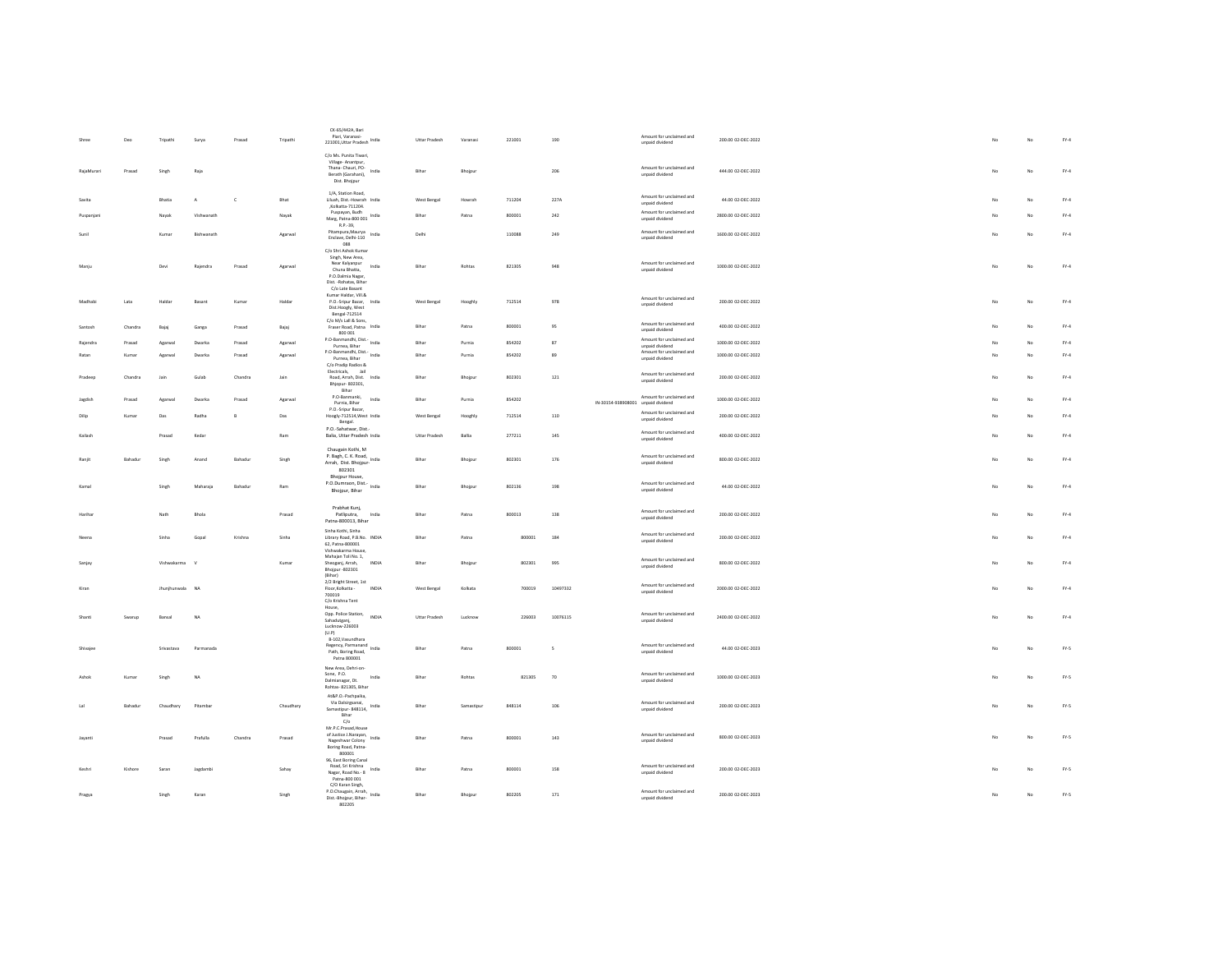|            | Deo     | Tripathi      | Surya        | Prasad  | Tripathi  | CK-65/442A, Bari<br>Piari, Varanasi-                                                                                    | Uttar Pradesh        | Varanasi   | 221001 | 190                      |                                    | Amount for unclaimed and<br>unpaid dividend                             | 200.00 02-DEC-2022  | No | No          | FY.4   |
|------------|---------|---------------|--------------|---------|-----------|-------------------------------------------------------------------------------------------------------------------------|----------------------|------------|--------|--------------------------|------------------------------------|-------------------------------------------------------------------------|---------------------|----|-------------|--------|
|            |         |               |              |         |           | C/o Ms. Punita Tiwari,<br>Village-Anantpur,                                                                             |                      |            |        |                          |                                    |                                                                         |                     |    |             |        |
| RajaMurari | Prasad  | Singh         | Raja         |         |           | Thana- Chauri, PO-<br>India<br>Berath (Garahani).<br>Dist. Bhojpur                                                      | Bihar                | Bhojpur    |        | 206                      |                                    | Amount for unclaimed and<br>unpaid dividend                             | 444.00 02-DEC-2022  | No | No          | FY.4   |
| Savita     |         | <b>Rhatia</b> | $\Delta$     | c       | Bhat      | 1/A, Station Road,<br>Liluah, Dist.-Howrah India<br>,Kolkatta-711204.                                                   | West Bengal          | Howrah     | 711204 | 227A                     |                                    | Amount for unclaimed and<br>unpaid dividend                             | 44.00 02-DEC-2022   | No | No          | $FY-4$ |
| Puspanian  |         | Navak         | Vishwanath   |         | Navak     | Puspayan, Budh<br>Marg, Patna-800 001 India<br>R P - 29                                                                 | Bihar                | Patna      | 800001 | 242                      |                                    | Amount for unclaimed and<br>unpaid dividend                             | 2800.00 02-DEC-2022 | No | No          | FY.4   |
| Sunit      |         | Kumar         | Richwanath   |         | Agarwal   | Pitampura.Maurva<br>India<br>Enclave, Delhi-110                                                                         | Delhi                |            | 110088 | 249                      |                                    | Amount for unclaimed and<br>unpaid dividend                             | 1600.00.02-DEC-2022 | No | No          | $FY-4$ |
| Manju      |         | Devi          | Rajendra     | Prasad  | Agarwal   | 088<br>C/o Shri Ashok Kuma<br>Singh, New Area,<br>Near Kalyanpur<br>India<br>Chuna Bhatta,                              | Bihar                | Robtas     | 821305 | 948                      |                                    | Amount for unclaimed and<br>unpaid dividend                             | 1000.00 02-DEC-2022 | No | No          | $FY-4$ |
|            |         |               |              |         |           | P.O.Dalmia Nagar,<br>Dist. - Rohatas, Bihar<br>C/o Late Basant<br>Kumar Haldar, Vill.&                                  |                      |            |        |                          |                                    |                                                                         |                     |    |             |        |
| Madhab     | Lata    | Haldar        | Basant       | Kumar   | Haldar    | P.O.-Sripur Bazar, India<br>Dist.Hoogly, West<br>Bengal-712514<br>C/o M/s Lall & Sons,                                  | West Bengal          | Hooghly    | 712514 | 978                      |                                    | Amount for unclaimed and<br>unpaid dividend                             | 200.00 02-DEC-2022  | No | No          | FY.4   |
|            | Chandra | Bajaj         | Ganga        | Prasad  | Bajaj     | Fraser Road, Patna India<br>800 001                                                                                     | Biha                 | Patna      | 800001 | 95                       |                                    | Amount for unclaimed and<br>unpaid dividend                             | 400.00 02-DEC-2022  |    | No          | FY.4   |
|            | Prasad  | Agarwa        | Dwarka       | Prasad  | Agarwal   | P.O-Banmandhi, Dist. India<br>Purnea, Bihar                                                                             | Bihar                | Purnia     | 854202 | $^{\rm 87}$              |                                    | Amount for unclaimed and<br>unpaid dividend<br>Amount for unclaimed and | 1000.00 02-DEC-2022 |    | $_{\rm No}$ | FY.4   |
| Ratan      | Kumar   | Agarwa        | Dwarka       | Prasad  | Agarwal   | P.O-Banmandhi, Dist.- India<br>Purnea, Bihar<br>C/o Pradip Radios &                                                     | Rihar                | Purnia     | 854202 | 89                       |                                    | unpaid dividend                                                         | 1000.00 02-DEC-2022 | No | No          | $FY-4$ |
| Pradeep    | Chandra | Jain          | Gulab        | Chandra | Jain      | Electricals, Jail<br>Road, Arrah, Dist. India<br>Bhjopur-802301,<br>Bihar                                               | Bihar                | Bhoipur    | 802301 | 121                      |                                    | Amount for unclaimed and<br>unpaid dividend                             | 200.00 02-DEC-2022  | No | No          | $FY-4$ |
| Jagdisl    | Prasad  | Agarwa        | Dwarka       | Prasad  | Agarwa    | P.O-Banmanki,<br>India<br>Purnia, Bihar                                                                                 | Bihar                | Purnia     | 854202 |                          | IN-30154-938908001 unpaid dividend | Amount for unclaimed and                                                | 1000.00 02-DEC-2022 |    | No          | FY.4   |
| Dilip      | Kumar   | Das           | Radha        | $\,$ B  | Das       | P.O.-Sripur Bazar.<br>Hoogly-712514, West India<br>Bengal.                                                              | West Bengal          | Hooghly    | 712514 | 110                      |                                    | Amount for unclaimed and<br>unpaid dividend                             | 200.00 02-DEC-2022  | No | No          | FY.4   |
| Kailash    |         | Prasad        | Kedar        |         | Ram       | P.O.-Sahatwar, Dist.<br>Balia, Uttar Pradesh India                                                                      | <b>Uttar Pradesh</b> | Ballia     | 277211 | 145                      |                                    | Amount for unclaimed and<br>unpaid dividend                             | 400.00 02-DEC-2022  | No | No          | $FY-4$ |
| Raniit     | Bahadur | Singh         | Anand        | Bahadur | Singh     | Chaugain Kothi, M<br>P. Bagh, C. K. Road, India<br>Arrah, Dist. Bhojpur-<br>802301                                      | Bihar                | Bhojpur    | 802301 | 176                      |                                    | Amount for unclaimed and<br>unpaid dividend                             | 800.00 02-DEC-2022  | No | No          | FY.4   |
| Kamal      |         | Singh         | Maharaja     | Bahadur | Ram       | Bhojpur House,<br>P.O.Dumraon, Dist.- India<br>Bhojpur, Bihar                                                           | Bihar                | Bhojpur    | 802136 | 198                      |                                    | Amount for unclaimed and<br>unpaid dividend                             | 44.00 02-DEC-2022   | No | No          | FY.4   |
| Hariha     |         | Nath          | Bhola        |         | Prasad    | Prabhat Kunj,<br>India<br>Patliputra.<br>Patna-800013, Bihar                                                            | Bihar                | Patna      | 800013 | 138                      |                                    | Amount for unclaimed and<br>unpaid dividend                             | 200.00 02-DEC-2022  | No | No          | FY.4   |
|            |         | Sinha         | Gopal        | Krishna | Sinha     | Sinha Kothi, Sinha<br>Library Road, P.B.No. INDIA<br>62, Patna-800001<br>Vishwakarma House,                             | Bihar                | Patna      | 800001 | 184                      |                                    | Amount for unclaimed and<br>unpaid dividend                             | 200.00 02-DEC-2022  |    | No          | FY.4   |
| Sanjar     |         | Vichwakarma   | $\mathbf{v}$ |         | Kumar     | Mahajan Toli No. 1,<br>Sheoganj, Arrah,<br>INDIA<br>Bhojpur - 802301<br>(Bihar)                                         | Bihar                | Bhojput    | 802301 | 995                      |                                    | Amount for unclaimed and<br>unpaid dividend                             | 800.00 02-DEC-2022  | No | No          | $FY-4$ |
| Kiran      |         | Jhunjhunwala  | NA           |         |           | 2/2 Bright Street, 1st<br>Floor, Kolkatta -<br>INDIA<br>700019<br>C/o Krishna Tent                                      | West Bengal          | Kolkata    | 700019 | 10497332                 |                                    | Amount for unclaimed and<br>unpaid dividend                             | 2000.00 02-DEC-2022 | No | No          | FY.4   |
|            | Swarup  | Bansal        | NA           |         |           | House,<br>Opp. Police Station,<br>INDIA<br>Sahadutganj,<br>Lucknow-226003                                               | Uttar Pradesh        | Lucknow    | 226003 | 10076115                 |                                    | Amount for unclaimed and<br>unpaid dividend                             | 2400.00 02-DEC-2022 | No | No          | FY.4   |
| Shivaier   |         | Srivastava    | Parmanada    |         |           | (U, P)<br>B-102, Vasundhara<br>Regency, Parmanand<br>India<br>Path, Boring Road,<br>Patna 800001                        | Bihar                | Patna      | 800001 | $\overline{\phantom{a}}$ |                                    | Amount for unclaimed and<br>unpaid dividend                             | 44.00 02-DEC-2023   | No | No          | FY.5   |
| Ashok      | Kumar   | Singh         | NA           |         |           | New Area, Dehri-on-<br>Sone, P.O.<br>India<br>Dalmianagar, Dt.<br>Rohtas-821305, Bihar                                  | Bihar                | Rohtas     | 821305 | 70                       |                                    | Amount for unclaimed and<br>unpaid dividend                             | 1000.00 02-DEC-2023 | No | $_{\rm No}$ | FY.5   |
|            | Bahadur | Chaudhary     | Pitambar     |         | Chaudhary | At&P.O.-Pachpaika,<br>Via Dalsirgsanai,<br>Samastipur-848114, India<br>Bihar                                            | Bihar                | Samastipur | 848114 | 106                      |                                    | Amount for unclaimed and<br>unpaid dividend                             | 200.00 02-DEC-2023  | No | No          | FY.5   |
| Javant     |         | Prasad        | Prafulla     | Chandra | Prasad    | $C/\alpha$<br>Mr.P.C.Prasad, House<br>of Justice J. Narayan, India<br>Nageshwar Colony<br>Boring Road, Patna-<br>800001 | Bihar                | Patna      | 800001 | 143                      |                                    | Amount for unclaimed and<br>unpaid dividend                             | 800.00 02-DEC-2023  |    | No          | FY.5   |
| Keshri     | Kishore | Saran         | Jagdambi     |         | Sahay     | 96, East Boring Canal<br>Road, Sri Krishna<br>India<br>Nagar, Road No. - 8<br>Patna-800 001                             | Bihar                | Patna      | 800001 | 158                      |                                    | Amount for unclaimed and<br>unpaid dividend                             | 200.00 02-DEC-2023  | No | No          | FY.5   |
| Pragya     |         | Singh         | Karan        |         | Singh     | C/O Karan Singh,<br>P.O.Chaugain, Arrah, India<br>Dist.-Bhojpur, Bihar-<br>802205                                       | Bihar                | Bhojpur    | 802205 | 171                      |                                    | Amount for unclaimed and<br>unpaid dividend                             | 200.00 02-DEC-2023  | No | No          | FY.5   |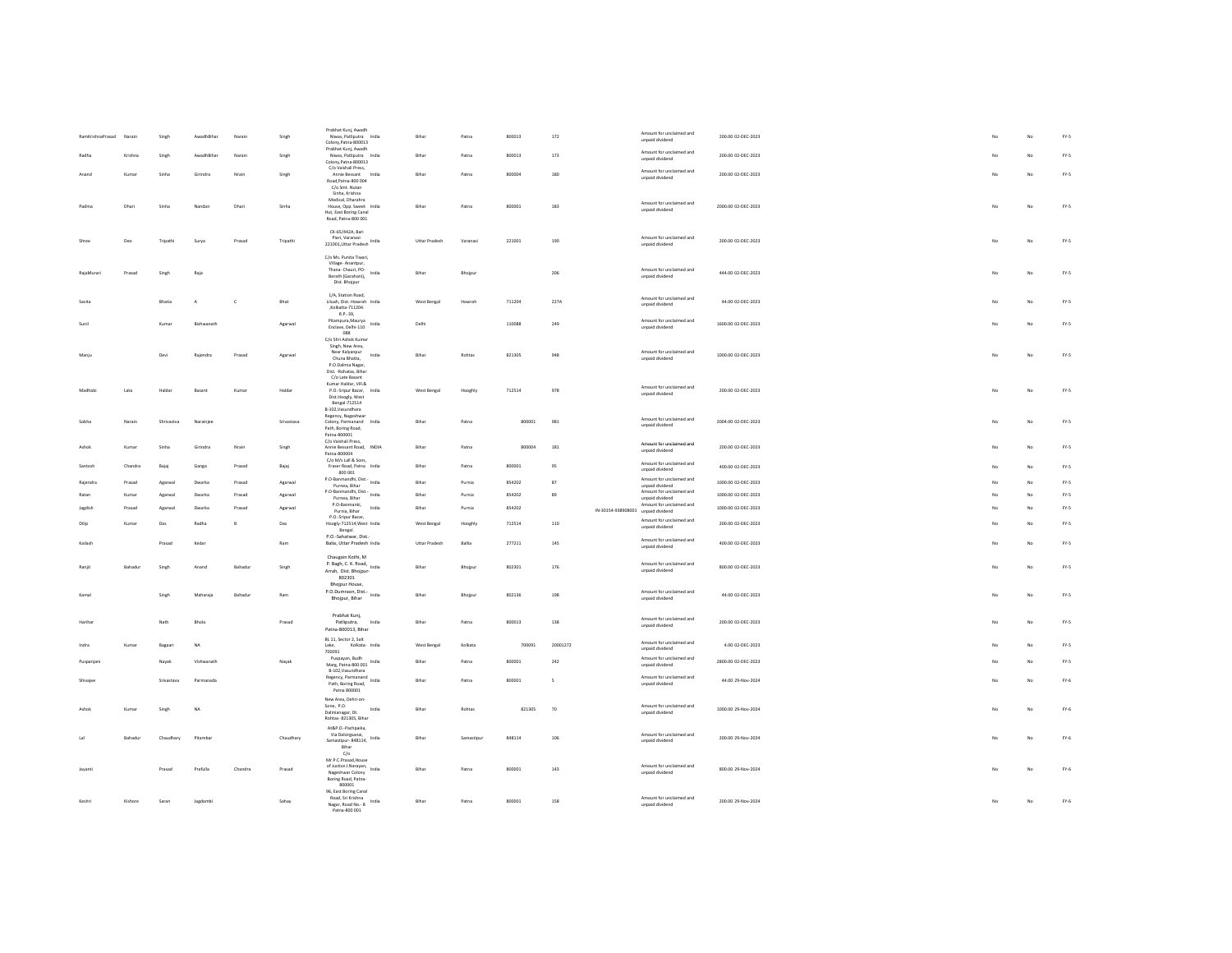| RamKrishnaPrasad Narain |         | Singh            | AwadhBihar | Narain       | Singh      | Prabhat Kunj, Awadh<br>Niwas Patliputra India<br>Colony, Patna-800013                             | Bihar                | Patna     | 800013 | 172         |                                    | Amount for unclaimed and<br>unpaid dividend | 200.00 02-DEC-2023  |     | No          | $FN-5$                          |
|-------------------------|---------|------------------|------------|--------------|------------|---------------------------------------------------------------------------------------------------|----------------------|-----------|--------|-------------|------------------------------------|---------------------------------------------|---------------------|-----|-------------|---------------------------------|
| Radha                   | Krishna | Singh            | AwadhBihar | Narain       | Singh      | Prabhat Kunj, Awadh<br>Niwas, Patliputra India                                                    | Bihar                | Patna     | 800013 | 173         |                                    | Amount for unclaimed and<br>unpaid dividend | 200.00 02-DEC-2023  |     | No          | FY.5                            |
|                         | Kuma    | Sinha            | Girindra   | Nrain        | Singh      | Colony.Patna-800013<br>C/o Vaishali Press,<br>Annie Bessant<br>India                              | Bihar                | Patna     | 800004 | 180         |                                    | Amount for unclaimed and                    | 200.00 02-DEC-2023  |     | No          | FY.5                            |
|                         |         |                  |            |              |            | Road, Patna-800 004<br>C/o Smt. Nutan<br>Sinha, Krishna                                           |                      |           |        |             |                                    | unpaid dividend                             |                     |     |             |                                 |
| Padma                   | Dhari   | Sinha            | Nandan     | Dhari        | Sinha      | Medical, Dharahra<br>House, Opp. Sweet India<br>Hut, East Boring Canal<br>Road, Patna-800 001     | Rihar                | Patna     | 800001 | 183         |                                    | Amount for unclaimed and<br>unpaid dividend | 2000.00.02-DEC-2023 | No. | No          | FY.5                            |
| Shree                   | Deo     | Tripathi         | Surya      | Prasad       | Tripathi   | CK-65/442A, Bari<br>Piari, Varanasi-                                                              | Uttar Pradesh        | Varanas   | 221001 | 190         |                                    | Amount for unclaimed and<br>unpaid dividend | 200.00 02-DEC-2023  | No  | $_{\rm No}$ | FY.5                            |
| RajaMurar               | Prasad  | Singh            | Raja       |              |            | C/o Ms. Punita Tiwari,<br>Village- Anantpur,<br>Thana- Chauri, PO-<br>India<br>Berath (Garahani), | Bihar                | Bhojps    |        | 206         |                                    | Amount for unclaimed and<br>unpaid dividend | 444.00 02-DEC-2023  |     | $_{\rm No}$ | FY.5                            |
|                         |         |                  |            |              |            | Dist. Bhojpur<br>1/A. Station Road.                                                               |                      |           |        |             |                                    | Amount for unclaimed and                    |                     |     |             |                                 |
| Savita                  |         | Bhatia           | A          | $\mathsf{c}$ | Bhat       | Liluah, Dist.-Howrah India<br>,Kolkatta-711204.<br>R P - 39<br>Pitampura, Maurya                  | West Bengal          | Howrah    | 711204 | 227A        |                                    | unpaid dividend<br>Amount for unclaimed and | 44.00 02-DEC-2023   |     | No          | FY.5                            |
|                         |         | Kuma             | Bishwanath |              | Agarwal    | India<br>Enclave, Delhi-110<br>088<br>C/o Shri Ashok Kuma                                         | Delhi                |           | 110088 | 249         |                                    | unpaid dividend                             | 1600.00 02-DEC-2023 |     | No          | FY.5                            |
| Maniu                   |         | Devi             | Raiendra   | Prasad       | Agarwal    | Singh, New Area,<br>Near Kalvanpur<br>India<br>Chuna Bhatta,                                      | Rihar                | Robtas    | 821305 | 948         |                                    | Amount for unclaimed and<br>unpaid dividend | 1000.00.02-DEC-2023 | No  | No          | FY-5                            |
|                         |         |                  |            |              |            | P.O.Dalmia Nagar,<br>Dist. - Rohatas, Bihar<br>C/o Late Basant                                    |                      |           |        |             |                                    |                                             |                     |     |             |                                 |
| Madhab                  | Lata    | Haldar           | Basan      | Kumar        | Haldar     | Kumar Haldar, Vill.&<br>P.O.-Sripur Bazar, India<br>Dist.Hoogly, West                             | West Bengal          | Hooghly   | 712514 | 978         |                                    | Amount for unclaimed and<br>unpaid dividend | 200.00 02-DEC-2023  | No  | $_{\rm No}$ | FY.5                            |
|                         |         |                  |            |              |            | Bengal-712514<br>B-102, Vasundhara                                                                |                      |           |        |             |                                    |                                             |                     |     |             |                                 |
| Sobba                   | Narain  | Shrivastva       | Narainiee  |              | Srivastava | Regency, Nageshwar<br>Colony, Parmanand India<br>Path, Boring Road.<br>Patna-800001               | Rihar                | Patna     | 800001 | 981         |                                    | Amount for unclaimed and<br>unpaid dividend | 2004.00.02-DEC-2023 | No. | No          | $FY-S$                          |
| Ashol                   | Kumar   | Sinha            | Girindra   | Nrain        | Singh      | C/o Vaishali Press,<br>Annie Bessant Road, INDIA<br>Patna-800004                                  | Bihar                | Patna     | 800004 | 181         |                                    | Amount for unclaimed and<br>unpaid dividend | 200.00 02-DEC-2023  |     | No          | FY-5                            |
| Santosh                 | Chandra | Bajaj            | Ganga      | Prasad       | Bajaj      | C/o M/s Lall & Sons.<br>Fraser Road, Patna India<br>800 001                                       | Bihar                | Patna     | 800001 | 95          |                                    | Amount for unclaimed and<br>unpaid dividend | 400.00 02-DEC-2023  |     | No          | FY.5                            |
| Rajendra                | Prasad  | Agarwa           | Dwarka     | Prasad       | Agarwal    | P.O-Banmandhi, Dist.<br>P.O-Banmandhi, Dist.<br>India<br>Purnea, Bihar                            | Bihar                | Purnia    | 854202 | $^{\rm 87}$ |                                    | Amount for unclaimed and<br>unpaid dividend | 1000.00 02-DEC-2023 |     | $_{\rm No}$ | $\mathsf{FY}\text{-}\mathsf{S}$ |
| Ratan                   | Kumar   | Agarwal          | Dwarka     | Prasad       | Agarwal    | P.O-Banmandhi, Dist.-<br>India<br>Purnea, Bihar                                                   | Rihar                | Pumia     | 854202 | 89          |                                    | Amount for unclaimed and<br>unpaid dividend | 1000.00 02-DEC-2023 |     | No          | $FN-5$                          |
| Jagdisl                 | Prasad  | Agarwa           | Dwarka     | Prasad       | Agarwa     | P.O-Banmanki,<br>India<br>Purnia, Bihar                                                           | Bihar                | Pumia     | 854202 |             | IN-30154-938908001 unpaid dividend | Amount for unclaimed and                    | 1000.00 02-DEC-2023 |     | No          | $\mathsf{FY}\text{-}\mathsf{S}$ |
| Dilip                   | Kumar   | Das              | Radha      | $\mathsf B$  | Das        | P.O.-Sripur Bazar<br>Hoogly-712514, West India<br>Bengal.<br>P.O.-Sahatwar, Dist.                 | West Bengal          | Hooghly   | 712514 | 110         |                                    | Amount for unclaimed and<br>unpaid dividend | 200.00 02-DEC-2023  |     | No          | FY-5                            |
| Kailash                 |         | Prasad           | Kedar      |              | Ram        | Balia, Uttar Pradesh India                                                                        | <b>Uttar Pradesh</b> | Ballia    | 277211 | 145         |                                    | Amount for unclaimed and<br>unpaid dividend | 400.00 02-DEC-2023  | No. | No          | $FY-5$                          |
| Ranji                   | Bahadur | Singh            | Anann      | Bahadur      | Singh      | Chaugain Kothi, M<br>P. Bagh, C. K. Road, India<br>Arrah, Dist. Bhojpur<br>802301                 | Bihar                | Bhojps    | 802301 | 176         |                                    | Amount for unclaimed and<br>unpaid dividend | 800.00 02-DEC-2023  | h.  | No          | FY.5                            |
| Kama                    |         | Singh            | Maharai    | Bahadur      | Ram        | Bhojpur House,<br>P.O.Dumraon, Dist.- India<br>Bhojpur, Bihar                                     | Bihar                | Bhojpu    | 802136 | 198         |                                    | Amount for unclaimed and<br>unpaid dividend | 44.00 02-DEC-2023   | Nr  | No          | $FY-5$                          |
| Hariha                  |         | Nath             | Bhola      |              | Prasad     | Prabhat Kunj,<br>Patliputra,<br>India                                                             | Bihar                | Patna     | 800013 | 138         |                                    | Amount for unclaimed and<br>unpaid dividend | 200.00 02-DEC-2023  | Nn  | No          | $FY-5$                          |
| Indra                   | Kumar   |                  | NA         |              |            | Patna-800013, Bihar<br>BL 11. Sector 2. Salt                                                      |                      | Kolkata   | 700091 | 20001272    |                                    | Amount for unclaimed and                    | 4.00 02-DEC-2023    |     | $_{\rm No}$ | FY.5                            |
| Puspanja                |         | Bagaari<br>Nayak | Vishwanath |              | Nayak      | Kolkata- India<br>Lake,<br>700091<br>Puspayan, Budh                                               | West Bengal<br>Bihar | Patna     | 800001 | ${\bf 242}$ |                                    | unpaid dividend<br>Amount for unclaimed and | 2800.00 02-DEC-2023 |     | No          | $\mathsf{FY}\text{-}\mathsf{S}$ |
| Shivajee                |         | Srivastava       | Parmanada  |              |            | Marg, Patna-800 001 India<br>B-102, Vasundhara<br>Regency, Parmanand<br>India                     | Bihar                | Patna     | 800001 | 5           |                                    | unpaid dividend<br>Amount for unclaimed and | 44.00 29-Nov-2024   | No. | No          | FY.6                            |
|                         |         |                  |            |              |            | Path, Boring Road,<br>Patna 800001<br>New Area, Dehri-on-                                         |                      |           |        |             |                                    | unpaid dividend                             |                     |     |             |                                 |
| Ashok                   | Kumar   | Singh            | NA         |              |            | Sone, P.O.<br>India<br>Dalmianagar, Dt.<br>Rohtas-821305, Bihar<br>At&P.O.-Pachpaika,             | Rihar                | Robtas    | 821305 | 70          |                                    | Amount for unclaimed and<br>unpaid dividend | 1000.00.29-Nov-2024 | No  | No          | $FN-6$                          |
| tal                     | Bahadur | Chaudhary        | Pitambar   |              | Chaudhary  | Via Dalsirgsanai,<br>India<br>Samastipur-848114.<br>Bihar<br>C/O                                  | Bihar                | Samastipu | 848114 | 106         |                                    | Amount for unclaimed and<br>unpaid dividend | 200.00 29-Nov-2024  |     | No          | $FY-6$                          |
| Jayant                  |         | Prasad           | Prafulla   | Chandra      | Prasad     | Mr.P.C.Prasad, House<br>of Justice J.Narayan,<br>India<br>Nageshwar Colony<br>Boring Road, Patna- | Bihar                | Patna     | 800001 | $\bf 143$   |                                    | Amount for unclaimed and<br>unpaid dividend | 800.00 29-Nov-2024  |     | No          | $FY-6$                          |
| Keshri                  | Kishore | Saran            | Jagdamb    |              | Sahay      | 800001<br>96, East Boring Canal<br>Road, Sri Krishna<br>India<br>Nagar, Road No. 8                | Bihar                | Patna     | 800001 | 158         |                                    | Amount for unclaimed and<br>unpaid dividend | 200.00 29-Nov-2024  | No  | $_{\rm No}$ | $FY-6$                          |
|                         |         |                  |            |              |            | Patna-800 001                                                                                     |                      |           |        |             |                                    |                                             |                     |     |             |                                 |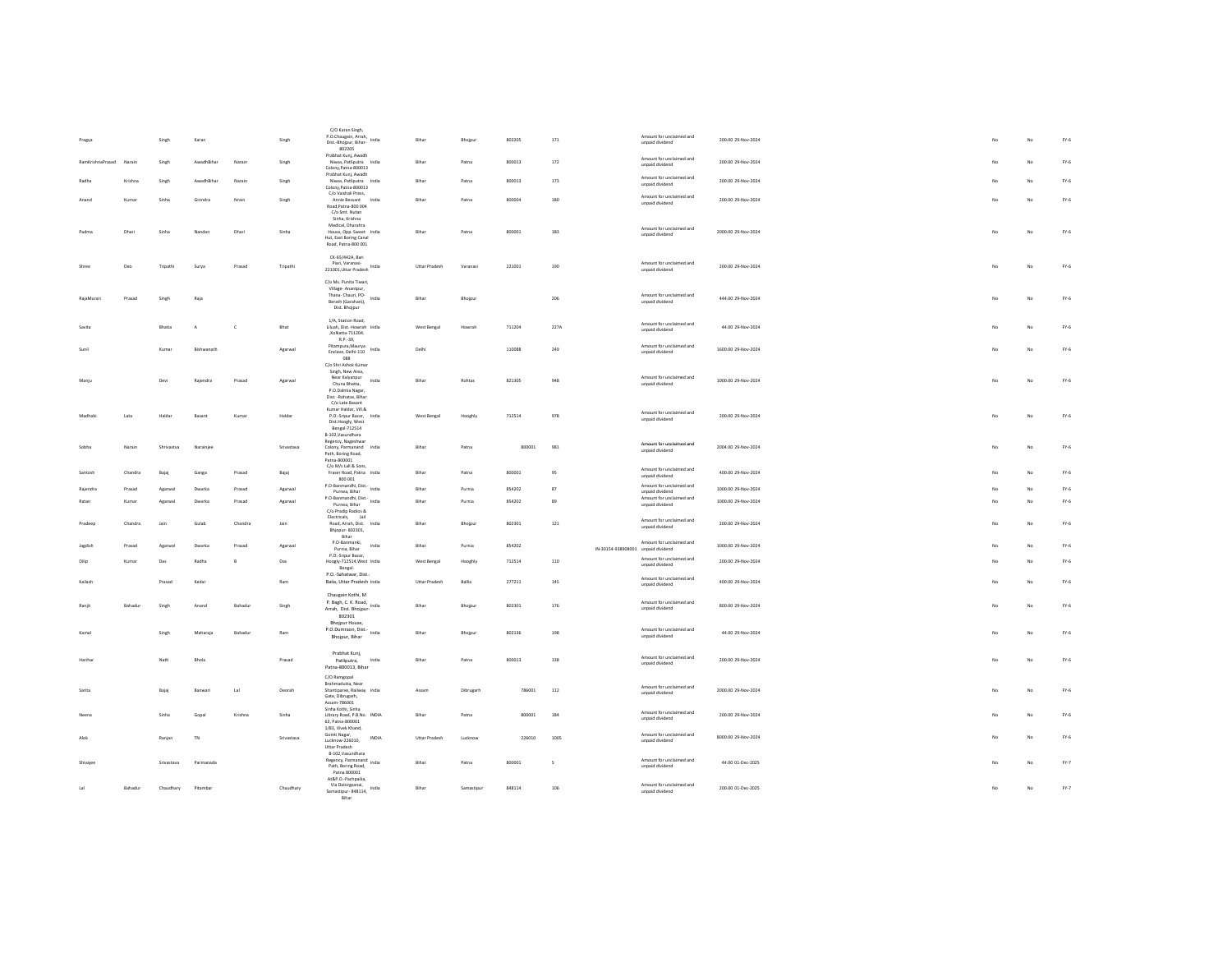| Pragya           |         | Singh      | Karan      |                | Singh      | C/O Karan Singh,<br>P.O.Chaugain, Arrah, India<br>Dist.-Bhojpur, Bihar-<br>802205                                 | Bihar                | Bhojpur    | 802205 | 171                      |                                    | Amount for unclaimed and<br>unpaid dividend | 200.00 29-Nov-2024  | No  | No          | $FY-6$ |
|------------------|---------|------------|------------|----------------|------------|-------------------------------------------------------------------------------------------------------------------|----------------------|------------|--------|--------------------------|------------------------------------|---------------------------------------------|---------------------|-----|-------------|--------|
| RamKrishnaPrasad | Narain  | Singh      | AwadhBihar | Narain         | Singh      | Prabhat Kunj, Awadh<br>Niwas, Patliputra India<br>Colony, Patna-800013                                            | Bihar                | Patna      | 800013 | 172                      |                                    | Amount for unclaimed and<br>unpaid dividend | 200.00 29-Nov-2024  |     | $_{\sf No}$ | FY.6   |
| Radha            | Krishna | Singh      | AwadhRihar | Narain         | Singh      | Prabhat Kunj, Awadh<br>Niwas, Patliputra India<br>Colony.Patna-800013                                             | Rihar                | Patna      | 800013 | 173                      |                                    | Amount for unclaimed and<br>unpaid dividend | 200.00.29-Nov-2024  |     | No          | $FY-6$ |
| Anand            | Kumar   | Sinha      | Girindra   | Nrain          | Singh      | C/o Vaishali Press.<br>Annie Bessant<br>India<br>Road, Patna-800 004                                              | Bihar                | Patna      | 800004 | 180                      |                                    | Amount for unclaimed and<br>unpaid dividend | 200.00 29-Nov-2024  |     | No          | FY.6   |
|                  |         |            |            |                |            | C/o Smt. Nutan<br>Sinha, Krishna<br>Medical, Dharahra                                                             |                      |            |        |                          |                                    |                                             |                     |     |             |        |
| Padma            | Dhari   | Sinha      | Nandan     | Dhari          | Sinha      | House, Opp. Sweet India<br>Hut, East Boring Canal<br>Road, Patna-800 001                                          | Bihar                | Patna      | 800001 | 183                      |                                    | Amount for unclaimed and<br>unpaid dividend | 2000.00 29-Nov-2024 | No. | No          | $FY-6$ |
|                  | Deo     | Tripathi   | Surya      | Prasad         | Tripathi   | CK-65/442A Bari<br>Piari, Varanasi-<br>221001, Uttar Pradesh India                                                | Uttar Pradesh        | Varanasi   | 221001 | 190                      |                                    | Amount for unclaimed and<br>unpaid dividend | 200.00 29-Nov-2024  | No  | No          | FY.6   |
| RajaMurari       | Prasad  | Singh      | Raja       |                |            | C/o Ms. Punita Tiwari.<br>Village-Anantpur.<br>Thana- Chauri, PO-<br>India<br>Berath (Garahani),<br>Dist. Bhojpur | Bihar                | Bhojpur    |        | 206                      |                                    | Amount for unclaimed and<br>unpaid dividend | 444.00 29-Nov-2024  | No  | No          | $FY-6$ |
| Savita           |         | Bhatia     | $\Delta$   | $\epsilon$     | Bhat       | 1/A. Station Road.<br>Liluah, Dist.-Howrah India<br>,Kolkatta-711204.                                             | West Bengal          | Howrah     | 711204 | 227A                     |                                    | Amount for unclaimed and<br>unpaid dividend | 44.00 29-Nov-2024   |     | No          | FY.6   |
|                  |         | Kumar      | Bishwanath |                | Agarwal    | R.P.-39,<br>Pitampura, Maurya<br>India<br>Enclave, Delhi-110<br><b>088</b>                                        | Delhi                |            | 110088 | 249                      |                                    | Amount for unclaimed and<br>unpaid dividend | 1600.00 29-Nov-2024 |     | No          | $FY-6$ |
|                  |         |            |            |                |            | C/o Shri Ashok Kumar<br>Singh, New Area,<br>Near Kalyanpur                                                        |                      |            |        |                          |                                    | Amount for unclaimed and                    |                     |     |             |        |
| Maniu            |         | Devi       | Raiendra   | Prasad         | Agarwal    | India<br>Chuna Bhatta,<br>P.O.Dalmia Nagar.<br>Dist. - Rohatas, Bihar                                             | Bihar                | Rohtas     | 821305 | 948                      |                                    | unpaid dividend                             | 1000.00 29-Nov-2024 | No  | No          | $FY-6$ |
| Madhab           | Lata    | Halda      | Basan      | Kumar          | Haldar     | C/o Late Basant<br>Kumar Haldar, Vill.&<br>P.O.-Sripur Bazar, India<br>Dist.Hoogly, West<br>Bengal-712514         | West Bengal          | Hooghly    | 712514 | 978                      |                                    | Amount for unclaimed and<br>unpaid dividend | 200.00 29-Nov-2024  |     | No          | $FY-6$ |
| Sobha            | Narain  | Shrivastva | Narainjee  |                | Srivastava | B-102, Vasundhara<br>Regency, Nageshwar<br>Colony, Parmanand<br>India<br>Path, Boring Road,                       | Bihar                | Patna      | 800001 | 981                      |                                    | Amount for unclaimed and<br>unpaid dividend | 2004.00 29-Nov-2024 |     | No          | $FY-6$ |
| Santosh          | Chandra | Bajaj      | Ganga      | Prasad         | Bajaj      | Patna-800001<br>C/o M/s Lall & Sons<br>Fraser Road, Patna India<br>800 001                                        | Bihar                | Patna      | 800001 | 95                       |                                    | Amount for unclaimed and<br>unpaid dividend | 400.00 29-Nov-2024  | No. | $_{\rm No}$ | FY.6   |
| Raiendra         | Prasad  | Agarwal    | Dwarka     | Prasad         | Agarwal    | P.O-Banmandhi, Dist.<br>India<br>Purnea, Bihar                                                                    | Bihar                | Purnia     | 854202 | 87                       |                                    | Amount for unclaimed and<br>unpaid dividend | 1000.00 29-Nov-2024 |     | No          | FY.6   |
| Ratan            | Kumar   | Agarwal    | Dwarka     | Prasad         | Agarwal    | P.O-Banmandhi, Dist.- India<br>Purnea, Bihar<br>C/o Pradip Radios &                                               | Bihar                | Purnia     | 854202 | 89                       |                                    | Amount for unclaimed and<br>unpaid dividend | 1000.00 29-Nov-2024 | No. | No          | $FY-6$ |
| Pradeep          | Chandra | tain       | Gulah      | Chandra        | tain       | Electricals,<br>Jail<br>Road, Arrah, Dist. India<br>Bhjopur- 802301,<br>Bihar                                     | Rihar                | Bhoipur    | 802301 | 121                      |                                    | Amount for unclaimed and<br>unpaid dividend | 200.00.29-Nov-2024  | No  | No          | $FY-6$ |
| Jagdish          | Prasad  | Agarwal    | Dwarka     | Prasad         | Agarwal    | P.O-Banmanki,<br>India<br>Purnia, Bihar<br>P.O.-Sripur Bazar,                                                     | Bihar                | Purnia     | 854202 |                          | IN-30154-938908001 unpaid dividend | Amount for unclaimed and                    | 1000.00 29-Nov-2024 | No. | No          | $FY-6$ |
| Dilip            | Kumar   | Das        | Radha      | $\overline{B}$ | Das        | Hoogly-712514, West India<br>Bengal.                                                                              | West Bengal          | Hooghly    | 712514 | 110                      |                                    | Amount for unclaimed and<br>unpaid dividend | 200.00 29-Nov-2024  |     | No          | $FY-6$ |
| Kailash          |         | Prasad     | Kedar      |                | Ram        | P.O.-Sahatwar, Dist.<br>Balia, Uttar Pradesh India                                                                | <b>Uttar Pradesh</b> | Ballia     | 277211 | 145                      |                                    | Amount for unclaimed and<br>unpaid dividend | 400.00 29-Nov-2024  | No  | No          | $FY-6$ |
| Ranii            | Bahadur | Singh      | Anand      | Bahadur        | Singh      | Chaugain Kothi, M<br>P. Bagh, C. K. Road.<br>India<br>Arrah, Dist. Bhojpur-<br>802301                             | Bihar                | Bhojpur    | 802301 | 176                      |                                    | Amount for unclaimed and<br>unpaid dividend | 800.00 29-Nov-2024  |     | No          | FY.6   |
| Kamal            |         | Singh      | Maharaja   | Bahadur        | Ram        | Bhojpur House,<br>P.O.Dumraon, Dist.-<br>India<br>Bhojpur, Bihar                                                  | Bihar                | Bhojpur    | 802136 | 198                      |                                    | Amount for unclaimed and<br>unpaid dividend | 44.00 29-Nov-2024   |     | No          | FY.6   |
| Harihan          |         | Nath       | Bhola      |                | Prasad     | Prabhat Kuni.<br>Patliputra.<br>India<br>Patna-800013, Bihar                                                      | Bihar                | Patna      | 800013 | 138                      |                                    | Amount for unclaimed and<br>unpaid dividend | 200.00 29-Nov-2024  | No. | No          | $FY-6$ |
| Sarita           |         | Bajaj      | Ranwari    | tal            | Deorah     | C/O Ramgopal<br>Brahmadutta, Near<br>Shantiparve, Railway India<br>Gate, Dibrugarh,                               | Assam                | Dibrugarh  | 786001 | 112                      |                                    | Amount for unclaimed and<br>unpaid dividend | 2000.00.29-Nov-2024 | No  | No          | $FY-6$ |
|                  |         | Sinha      | Gopal      | Krishna        | Sinha      | Assam-786001<br>Sinha Kothi, Sinha<br>Library Road, P.B.No. INDIA<br>62. Patna-800001                             | Bihar                | Patna      | 800001 | 184                      |                                    | Amount for unclaimed and<br>unpaid dividend | 200.00 29-Nov-2024  |     | $_{\rm No}$ | $FY-6$ |
| Alok             |         | Ranjan     | TN         |                | Srivastava | 1/83. Vivek Khand.<br>Gomti Nagar.<br>INDIA<br>Lucknow-226010,<br>Uttar Pradesh                                   | <b>Uttar Pradesh</b> | Lucknow    | 226010 | 1005                     |                                    | Amount for unclaimed and<br>unpaid dividend | 8000.00.29-Nov-2024 |     | No          | $FY-6$ |
| Shivajee         |         | Srivastava | Parmanada  |                |            | B-102.Vasundhara<br>Regency, Parmanand<br>India<br>Path, Boring Road,<br>Patna 800001                             | Bihar                | Patna      | 800001 | $\overline{\phantom{a}}$ |                                    | Amount for unclaimed and<br>unpaid dividend | 44.00 01-Dec-2025   |     | No          | FY.7   |
| tal              | Bahadur | Chaudhary  | Pitambar   |                | Chaudhary  | At&P.O.-Pachpaika,<br>Via Dalsirgsanai,<br>India<br>Samastipur-848114,<br>Bihar                                   | Bihar                | Samastipur | 848114 | 106                      |                                    | Amount for unclaimed and<br>unpaid dividend | 200.00 01-Dec-2025  | No. | $_{\sf No}$ | FY.7   |
|                  |         |            |            |                |            |                                                                                                                   |                      |            |        |                          |                                    |                                             |                     |     |             |        |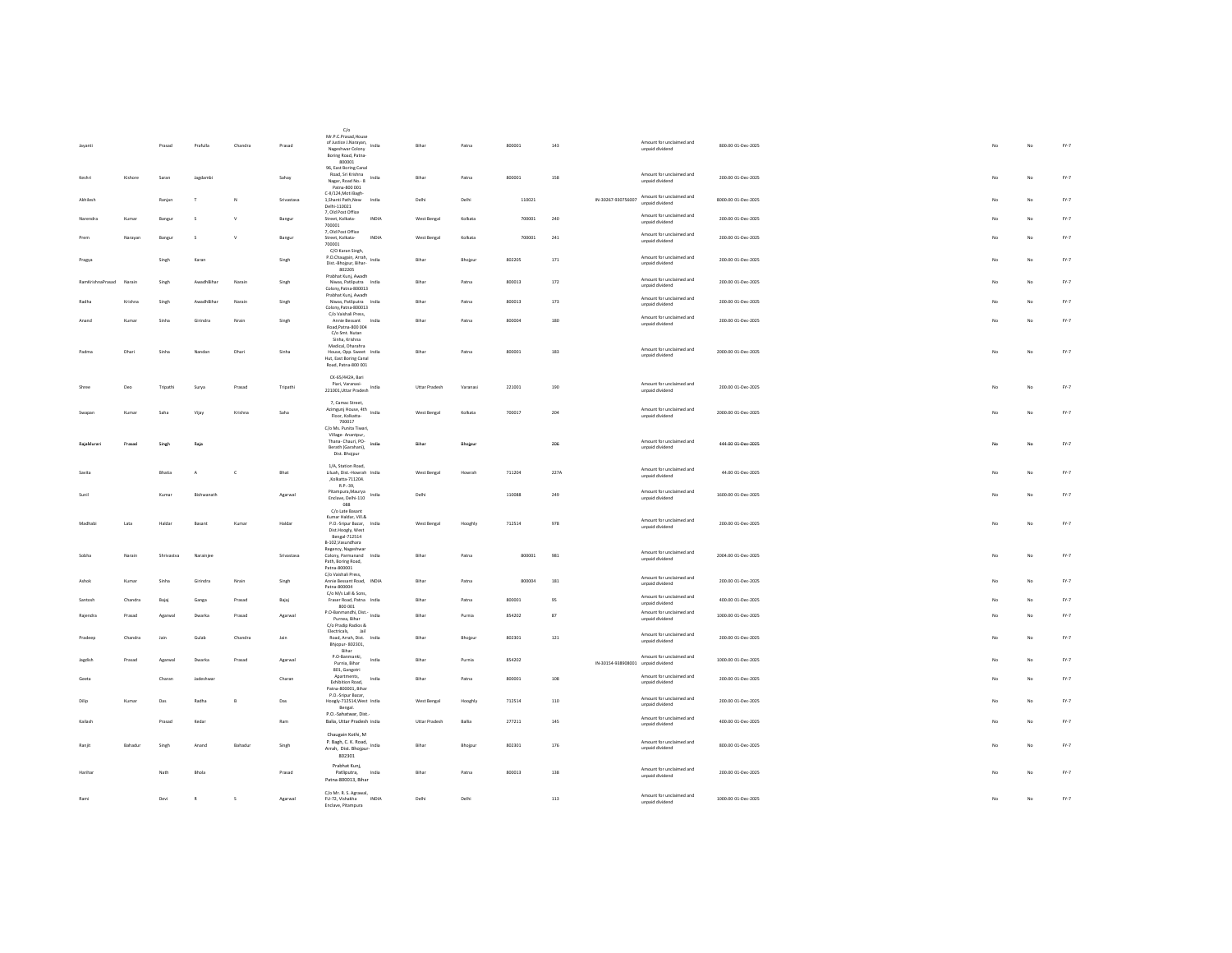|                  |         | Prasad     | Prafulla     | Chandra      | Prasad     | C/c<br>Mr.P.C.Prasad.House<br>Mil. Politice J. Narayan, India<br>Nageshwar Colony                                              |       | Bihar                | Patna    | 800001 | 143         |                                    | Amount for unclaimed and<br>unpaid dividend                    | 800.00 01-Dec-2025  |  | No             | No          | FY.7   |
|------------------|---------|------------|--------------|--------------|------------|--------------------------------------------------------------------------------------------------------------------------------|-------|----------------------|----------|--------|-------------|------------------------------------|----------------------------------------------------------------|---------------------|--|----------------|-------------|--------|
|                  |         |            |              |              |            | Boring Road, Patna-<br>800001<br>96, East Boring Canal                                                                         |       |                      |          |        |             |                                    |                                                                |                     |  |                |             |        |
| Keshr            | Kishore | Saran      | Jagdambi     |              | Sahay      | Road, Sri Krishna<br>Nagar, Road No.- 8<br>Patna-800 001                                                                       | India | Bihar                | Patna    | 800001 | 158         |                                    | Amount for unclaimed and<br>unpaid dividend                    | 200.00 01-Dec-2025  |  | No             | No          | FY.7   |
| Akhilech         |         | Ranjan     | т            | $\mathbf{N}$ | Srivastava | C-II/124, Moti Bagh-<br>1, Shanti Path, New<br>Delhi-110021                                                                    | India | Delhi                | Delhi    | 110021 |             |                                    | IN-30267-930756007 Amount for unclaimed and<br>unpaid dividend | 8000.00 01-Dec-2025 |  | No             | No          | FY.7   |
| Narendra         | Kumar   | Bangur     | s            | $\mathsf{v}$ | Bangur     | 7, Old Post Office<br>Street, Kolkata-<br>700001                                                                               | INDIA | West Bengal          | Kolkata  | 700001 | 240         |                                    | Amount for unclaimed and<br>unpaid dividend                    | 200.00 01-Dec-2025  |  |                | No          | FY.7   |
| Prem             | Narayan | Bangur     | s            | $\mathsf{v}$ | Bangur     | 7, Old Post Office<br>Street, Kolkata-<br>700001                                                                               | INDIA | West Bengal          | Kolkata  | 700001 | 241         |                                    | Amount for unclaimed and<br>unpaid dividend                    | 200.00 01-Dec-2025  |  | No             | No          | $FY-7$ |
| Pragya           |         | Singh      | Karan        |              | Singh      | C/O Karan Singh,<br>P.O.Chaugain, Arrah, India<br>Dist.-Bhojpur, Bihar-<br>802205                                              |       | Bihar                | Bhojpur  | 802205 | 171         |                                    | Amount for unclaimed and<br>unpaid dividend                    | 200.00 01-Dec-2025  |  | No             | No          | FY.7   |
| RamKrishnaPrasad | Narain  | Singh      | AwadhBiha    | Narain       | Singh      | Prabhat Kunj, Awadh<br>Niwas, Patliputra India<br>Colony, Patna-800013<br>Prabhat Kunj, Awadh                                  |       | Bihar                | Patna    | 800013 | $172\,$     |                                    | Amount for unclaimed and<br>unpaid dividend                    | 200.00 01-Dec-2025  |  |                | No          | FY.7   |
| Radha            | Krishna | Singh      | AwadhBihar   | Narain       | Singh      | Niwas Patliputra India<br>Colony.Patna-800013<br>C/o Vaishali Press,                                                           |       | Bihar                | Patna    | 800013 | 173         |                                    | Amount for unclaimed and<br>unpaid dividend                    | 200.00 01-Dec-2025  |  | No             | No          | FY.7   |
| Anand            | Kumar   | Sinha      | Girindra     | Nrain        | Singh      | Annie Bessant<br>Road Patna-800.004<br>C/o Smt. Nutan<br>Sinha, Krishna                                                        | India | Rihar                | Patna    | 800004 | 180         |                                    | Amount for unclaimed and<br>unpaid dividend                    | 200.00 01-Dec-2025  |  | N <sub>0</sub> | No          | FY.7   |
| Padma            | Dhari   | Sinha      | Nandar       | Dhari        | Sinha      | Medical, Dharahra<br>House, Opp. Sweet India<br>Hut, East Boring Canal<br>Road, Patna-800 001                                  |       | Bihar                | Patna    | 800001 | 183         |                                    | Amount for unclaimed and<br>unpaid dividend                    | 2000.00 01-Dec-2025 |  | No             | No          | FY.7   |
| Shree            | Deo     | Tripathi   | Surva        | Prasad       | Tripathi   | CK-65/442A, Bari<br>Piari, Varanasi-<br>221001, Uttar Pradesh India                                                            |       | Uttar Pradesh        | Varanasi | 221001 | 190         |                                    | Amount for unclaimed and<br>unpaid dividend                    | 200.00 01-Dec-2025  |  | No             | No          | $FY-7$ |
| Swanan           | Kumar   | Saha       | Vijay        | Krishna      | Saha       | 7, Camac Street,<br>Azimgunj House, 4th India<br>Floor, Kolkatta-<br>700017<br>C/o Ms. Punita Tiwari.                          |       | West Bengal          | Kolkata  | 700017 | 204         |                                    | Amount for unclaimed and<br>unpaid dividend                    | 2000.00 01-Dec-2025 |  | No             | No          | $FY-7$ |
| RaiaMurar        | Prasad  | Singh      | Raja         |              |            | Village-Anantpur,<br>Thana- Chauri, PO-<br>Berath (Garahani),<br>Dist. Bhojpur                                                 | india | Bihar                | Bhojpur  |        | 206         |                                    | Amount for unclaimed and<br>unpaid dividend                    | 444.00 01-Dec-2025  |  | No             | No          | $Fr-7$ |
|                  |         | Bhatia     | A            | $\mathsf{c}$ | Bhat       | 1/A. Station Road.<br>Liluah, Dist.-Howrah India<br>,Kolkatta-711204.                                                          |       | West Bengal          | Howrah   | 711204 | 227A        |                                    | Amount for unclaimed and<br>unpaid dividend                    | 44.00 01-Dec-2025   |  |                | No          | FY.7   |
|                  |         | Kuma       | Bishwanath   |              | Agarwa     | R.P.-39.<br>Pitampura.Maurva<br>Enclave, Delhi-110<br>088                                                                      | India | Delhi                |          | 110088 | 249         |                                    | Amount for unclaimed and<br>unpaid dividend                    | 1600.00 01-Dec-2025 |  |                | No          | FY.7   |
| Madhabi          | Lata    | Haldar     | Basant       | Kumar        | Haldar     | C/o Late Basant<br>Kumar Haldar, Vill.&<br>P.O.-Sripur Bazar, India<br>Dist.Hoogly, West<br>Bengal-712514<br>B-102, Vasundhara |       | West Bengal          | Hooghly  | 712514 | 978         |                                    | Amount for unclaimed and<br>unpaid dividend                    | 200.00 01-Dec-2025  |  | No             | No          | FY.7   |
| Sobha            | Narain  | Shrivastva | Narainiee    |              | Srivastava | Regency, Nageshwar<br>Colony, Parmanand India<br>Path, Boring Road,<br>Patna-800001                                            |       | Bihar                | Patna    | 800001 | 981         |                                    | Amount for unclaimed and<br>unpaid dividend                    | 2004.00 01-Dec-2025 |  | No.            | No          | $FY-7$ |
| Ashok            | Kumar   | Sinha      | Girindra     | Nrain        | Singh      | C/o Vaishali Press,<br>Annie Bessant Road, INDIA<br>Patna-800004                                                               |       | Bihar                | Patna    | 800004 | 181         |                                    | Amount for unclaimed and<br>unpaid dividend                    | 200.00 01-Dec-2025  |  | No             | No          | FY.7   |
| Santosh          | Chandra | Bajaj      | Ganga        | Prasad       | Bajaj      | C/o M/s Lall & Sons,<br>Fraser Road, Patna India<br>800 001                                                                    |       | Bihar                | Patna    | 800001 | 95          |                                    | Amount for unclaimed and<br>unpaid dividend                    | 400.00 01-Dec-2025  |  |                | No          | FY.7   |
| Rajendra         | Prasad  | Agarwa     | Dwarkz       | Prasad       | Agarwa     | P.O-Banmandhi, Dist.- India<br>Purnea, Bihar<br>C/o Pradip Radios &                                                            |       | Bihar                | Purnia   | 854202 | $^{\rm 87}$ |                                    | Amount for unclaimed and<br>unpaid dividend                    | 1000.00 01-Dec-2025 |  | N <sub>0</sub> | No          | FY.7   |
| Pradeep          | Chandra | tain       | Gulah        | Chandra      | bin        | Electricals,<br><b>Lai</b><br>Road, Arrah, Dist. India<br>Bhjopur- 802301,<br>Bihar                                            |       | Rihar                | Bhojpur  | 802301 | 121         |                                    | Amount for unclaimed and<br>unpaid dividend                    | 200.00 01-Dec-2025  |  | No.            | No          | $FY-7$ |
| Jagdish          | Prasad  | Agarwal    | Dwarka       | Prasad       | Agarwal    | P.O-Banmanki,<br>Purnia, Bihar                                                                                                 | India | Bihar                | Purnia   | 854202 |             | IN-30154-938908001 unpaid dividend | Amount for unclaimed and                                       | 1000.00 01-Dec-2025 |  | No.            | No          | FY.7   |
| Geeta            |         | Charan     | Jadeshwa     |              | Charan     | 801, Gangotri<br>Apartments,<br>Exhibition Road,<br>Patna-800001, Bihar                                                        | India | Bihar                | Patna    | 800001 | 108         |                                    | Amount for unclaimed and<br>unpaid dividend                    | 200.00 01-Dec-2025  |  |                | No          | FY.7   |
| Dilip            | Kumar   | Das        | Radha        | $\mathsf{B}$ | Das        | P.O.-Sripur Bazar,<br>Hoogly-712514, West India<br>Bengal.                                                                     |       | West Bengal          | Hooghly  | 712514 | 110         |                                    | Amount for unclaimed and<br>unpaid dividend                    | 200.00 01-Dec-2025  |  | No             | No          | FY.7   |
| Kailash          |         | Prasad     | Kedar        |              | Ram        | P.O.-Sahatwar, Dist.<br>Balia, Uttar Pradesh India                                                                             |       | <b>Uttar Pradesh</b> | Ballia   | 277211 | 145         |                                    | Amount for unclaimed and<br>unpaid dividend                    | 400.00 01-Dec-2025  |  | No             | No          | $FY-7$ |
| Ranjit           | Bahadur | Singh      | Anand        | Bahadur      | Singh      | Chaugain Kothi, M<br>P. Bagh, C. K. Road, India<br>Arrah, Dist. Bhojpur<br>802301                                              |       | Bihar                | Bhojpur  | 802301 | 176         |                                    | Amount for unclaimed and<br>unpaid dividend                    | 800.00 01-Dec-2025  |  | No             | No          | FY.7   |
| Harihar          |         | Nath       | Bhola        |              | Prasad     | Prabhat Kunj,<br>Patliputra,<br>Patna-800013, Bihar                                                                            | India | Bihar                | Patna    | 800013 | 138         |                                    | Amount for unclaimed and<br>unpaid dividend                    | 200.00 01-Dec-2025  |  | No             | No          | $FY-7$ |
| Rami             |         | Devi       | $\mathbb{R}$ | s            | Agarwal    | C/o Mr. R. S. Agrawal,<br>FU-72, Vishakha<br>Enclave, Pitampura                                                                | INDIA | Delhi                | Delhi    |        | 113         |                                    | Amount for unclaimed and<br>unpaid dividend                    | 1000.00 01-Dec-2025 |  | No             | $_{\rm No}$ | FY.7   |